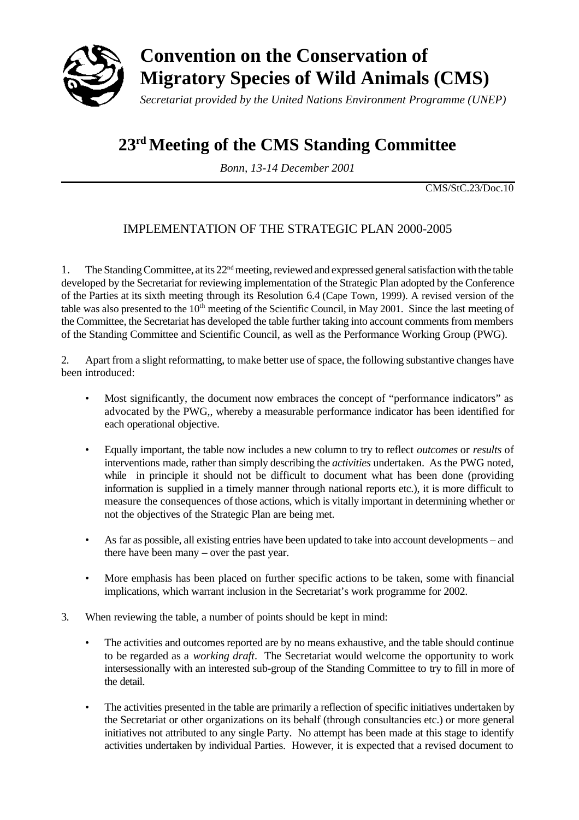

# **Convention on the Conservation of Migratory Species of Wild Animals (CMS)**

*Secretariat provided by the United Nations Environment Programme (UNEP)*

# **23rd Meeting of the CMS Standing Committee**

*Bonn, 13-14 December 2001*

CMS/StC.23/Doc.10

# IMPLEMENTATION OF THE STRATEGIC PLAN 2000-2005

1. The Standing Committee, at its  $22<sup>nd</sup>$  meeting, reviewed and expressed general satisfaction with the table developed by the Secretariat for reviewing implementation of the Strategic Plan adopted by the Conference of the Parties at its sixth meeting through its Resolution 6.4 (Cape Town, 1999). A revised version of the table was also presented to the  $10<sup>th</sup>$  meeting of the Scientific Council, in May 2001. Since the last meeting of the Committee, the Secretariat has developed the table further taking into account comments from members of the Standing Committee and Scientific Council, as well as the Performance Working Group (PWG).

2. Apart from a slight reformatting, to make better use of space, the following substantive changes have been introduced:

- Most significantly, the document now embraces the concept of "performance indicators" as advocated by the PWG,, whereby a measurable performance indicator has been identified for each operational objective.
- Equally important, the table now includes a new column to try to reflect *outcomes* or *results* of interventions made, rather than simply describing the *activities* undertaken. As the PWG noted, while in principle it should not be difficult to document what has been done (providing information is supplied in a timely manner through national reports etc.), it is more difficult to measure the consequences of those actions, which is vitally important in determining whether or not the objectives of the Strategic Plan are being met.
- As far as possible, all existing entries have been updated to take into account developments and there have been many – over the past year.
- More emphasis has been placed on further specific actions to be taken, some with financial implications, which warrant inclusion in the Secretariat's work programme for 2002.
- 3. When reviewing the table, a number of points should be kept in mind:
	- The activities and outcomes reported are by no means exhaustive, and the table should continue to be regarded as a *working draft*. The Secretariat would welcome the opportunity to work intersessionally with an interested sub-group of the Standing Committee to try to fill in more of the detail.
	- The activities presented in the table are primarily a reflection of specific initiatives undertaken by the Secretariat or other organizations on its behalf (through consultancies etc.) or more general initiatives not attributed to any single Party. No attempt has been made at this stage to identify activities undertaken by individual Parties. However, it is expected that a revised document to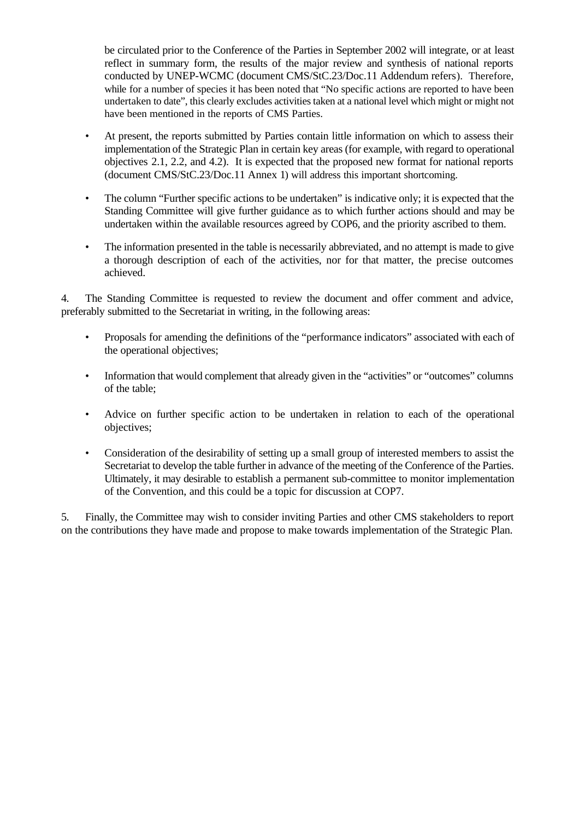be circulated prior to the Conference of the Parties in September 2002 will integrate, or at least reflect in summary form, the results of the major review and synthesis of national reports conducted by UNEP-WCMC (document CMS/StC.23/Doc.11 Addendum refers). Therefore, while for a number of species it has been noted that "No specific actions are reported to have been undertaken to date", this clearly excludes activities taken at a national level which might or might not have been mentioned in the reports of CMS Parties.

- At present, the reports submitted by Parties contain little information on which to assess their implementation of the Strategic Plan in certain key areas (for example, with regard to operational objectives 2.1, 2.2, and 4.2). It is expected that the proposed new format for national reports (document CMS/StC.23/Doc.11 Annex 1) will address this important shortcoming.
- The column "Further specific actions to be undertaken" is indicative only; it is expected that the Standing Committee will give further guidance as to which further actions should and may be undertaken within the available resources agreed by COP6, and the priority ascribed to them.
- The information presented in the table is necessarily abbreviated, and no attempt is made to give a thorough description of each of the activities, nor for that matter, the precise outcomes achieved.

4. The Standing Committee is requested to review the document and offer comment and advice, preferably submitted to the Secretariat in writing, in the following areas:

- Proposals for amending the definitions of the "performance indicators" associated with each of the operational objectives;
- Information that would complement that already given in the "activities" or "outcomes" columns of the table;
- Advice on further specific action to be undertaken in relation to each of the operational objectives;
- Consideration of the desirability of setting up a small group of interested members to assist the Secretariat to develop the table further in advance of the meeting of the Conference of the Parties. Ultimately, it may desirable to establish a permanent sub-committee to monitor implementation of the Convention, and this could be a topic for discussion at COP7.

5. Finally, the Committee may wish to consider inviting Parties and other CMS stakeholders to report on the contributions they have made and propose to make towards implementation of the Strategic Plan.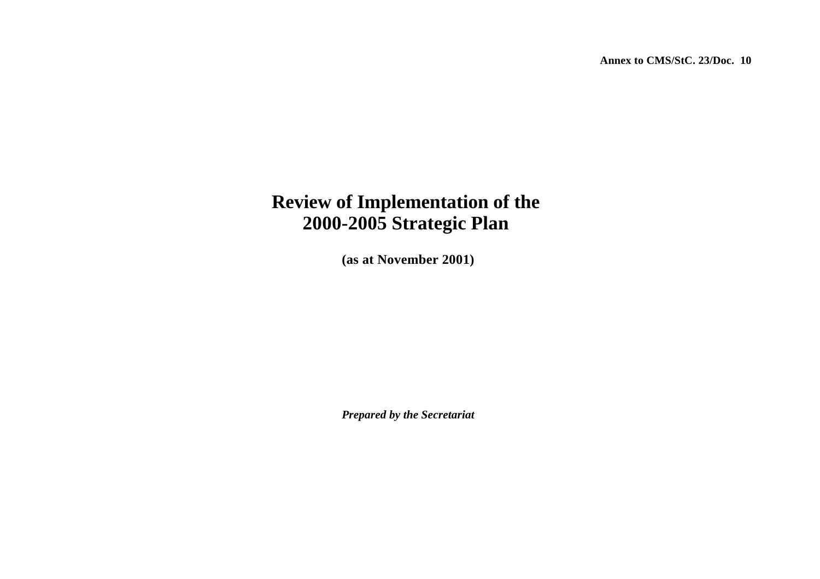**Annex to CMS/StC. 23/Doc. 10** 

# **Review of Implementation of the 2000-2005 Strategic Plan**

**(as at November 2001)**

*Prepared by the Secretariat*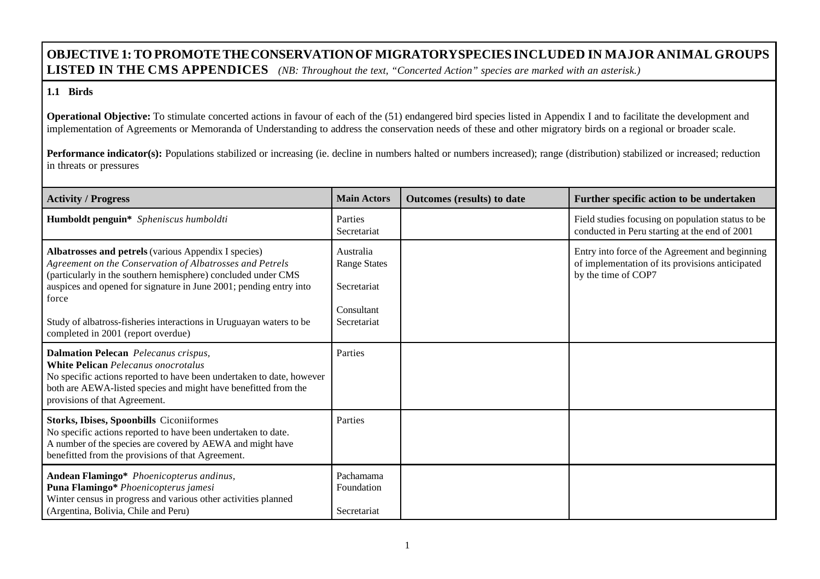## **OBJECTIVE 1: TO PROMOTETHECONSERVATIONOF MIGRATORYSPECIESINCLUDED IN MAJOR ANIMAL GROUPS LISTED IN THE CMS APPENDICES** *(NB: Throughout the text, "Concerted Action" species are marked with an asterisk.)*

#### **1.1 Birds**

**Operational Objective:** To stimulate concerted actions in favour of each of the (51) endangered bird species listed in Appendix I and to facilitate the development and implementation of Agreements or Memoranda of Understanding to address the conservation needs of these and other migratory birds on a regional or broader scale.

| <b>Activity / Progress</b>                                                                                                                                                                                                                                                                                                                                                    | <b>Main Actors</b>                                                           | Outcomes (results) to date | Further specific action to be undertaken                                                                                  |
|-------------------------------------------------------------------------------------------------------------------------------------------------------------------------------------------------------------------------------------------------------------------------------------------------------------------------------------------------------------------------------|------------------------------------------------------------------------------|----------------------------|---------------------------------------------------------------------------------------------------------------------------|
| Humboldt penguin* Spheniscus humboldti                                                                                                                                                                                                                                                                                                                                        | Parties<br>Secretariat                                                       |                            | Field studies focusing on population status to be<br>conducted in Peru starting at the end of 2001                        |
| Albatrosses and petrels (various Appendix I species)<br>Agreement on the Conservation of Albatrosses and Petrels<br>(particularly in the southern hemisphere) concluded under CMS<br>auspices and opened for signature in June 2001; pending entry into<br>force<br>Study of albatross-fisheries interactions in Uruguayan waters to be<br>completed in 2001 (report overdue) | Australia<br><b>Range States</b><br>Secretariat<br>Consultant<br>Secretariat |                            | Entry into force of the Agreement and beginning<br>of implementation of its provisions anticipated<br>by the time of COP7 |
| <b>Dalmation Pelecan</b> Pelecanus crispus,<br><b>White Pelican</b> Pelecanus onocrotalus<br>No specific actions reported to have been undertaken to date, however<br>both are AEWA-listed species and might have benefitted from the<br>provisions of that Agreement.                                                                                                        | Parties                                                                      |                            |                                                                                                                           |
| <b>Storks, Ibises, Spoonbills Ciconiiformes</b><br>No specific actions reported to have been undertaken to date.<br>A number of the species are covered by AEWA and might have<br>benefitted from the provisions of that Agreement.                                                                                                                                           | Parties                                                                      |                            |                                                                                                                           |
| Andean Flamingo* Phoenicopterus andinus,<br>Puna Flamingo* Phoenicopterus jamesi<br>Winter census in progress and various other activities planned<br>(Argentina, Bolivia, Chile and Peru)                                                                                                                                                                                    | Pachamama<br>Foundation<br>Secretariat                                       |                            |                                                                                                                           |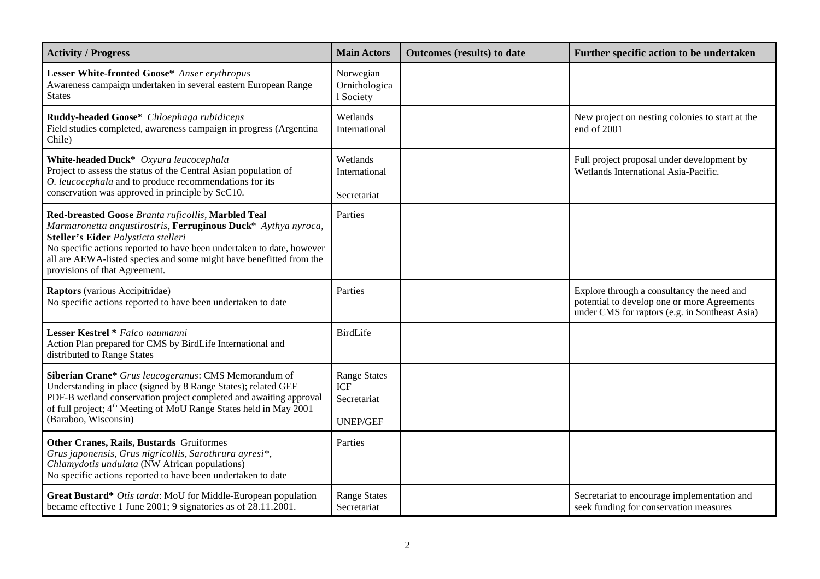| <b>Activity / Progress</b>                                                                                                                                                                                                                                                                                                                  | <b>Main Actors</b>                                                  | Outcomes (results) to date | Further specific action to be undertaken                                                                                                    |
|---------------------------------------------------------------------------------------------------------------------------------------------------------------------------------------------------------------------------------------------------------------------------------------------------------------------------------------------|---------------------------------------------------------------------|----------------------------|---------------------------------------------------------------------------------------------------------------------------------------------|
| Lesser White-fronted Goose* Anser erythropus<br>Awareness campaign undertaken in several eastern European Range<br><b>States</b>                                                                                                                                                                                                            | Norwegian<br>Ornithologica<br>1 Society                             |                            |                                                                                                                                             |
| Ruddy-headed Goose* Chloephaga rubidiceps<br>Field studies completed, awareness campaign in progress (Argentina<br>Chile)                                                                                                                                                                                                                   | Wetlands<br>International                                           |                            | New project on nesting colonies to start at the<br>end of 2001                                                                              |
| White-headed Duck* Oxyura leucocephala<br>Project to assess the status of the Central Asian population of<br>O. leucocephala and to produce recommendations for its<br>conservation was approved in principle by ScC10.                                                                                                                     | Wetlands<br>International<br>Secretariat                            |                            | Full project proposal under development by<br>Wetlands International Asia-Pacific.                                                          |
| Red-breasted Goose Branta ruficollis, Marbled Teal<br>Marmaronetta angustirostris, Ferruginous Duck* Aythya nyroca,<br>Steller's Eider Polysticta stelleri<br>No specific actions reported to have been undertaken to date, however<br>all are AEWA-listed species and some might have benefitted from the<br>provisions of that Agreement. | Parties                                                             |                            |                                                                                                                                             |
| Raptors (various Accipitridae)<br>No specific actions reported to have been undertaken to date                                                                                                                                                                                                                                              | Parties                                                             |                            | Explore through a consultancy the need and<br>potential to develop one or more Agreements<br>under CMS for raptors (e.g. in Southeast Asia) |
| Lesser Kestrel * Falco naumanni<br>Action Plan prepared for CMS by BirdLife International and<br>distributed to Range States                                                                                                                                                                                                                | <b>BirdLife</b>                                                     |                            |                                                                                                                                             |
| Siberian Crane* Grus leucogeranus: CMS Memorandum of<br>Understanding in place (signed by 8 Range States); related GEF<br>PDF-B wetland conservation project completed and awaiting approval<br>of full project; 4 <sup>th</sup> Meeting of MoU Range States held in May 2001<br>(Baraboo, Wisconsin)                                       | <b>Range States</b><br><b>ICF</b><br>Secretariat<br><b>UNEP/GEF</b> |                            |                                                                                                                                             |
| Other Cranes, Rails, Bustards Gruiformes<br>Grus japonensis, Grus nigricollis, Sarothrura ayresi*,<br>Chlamydotis undulata (NW African populations)<br>No specific actions reported to have been undertaken to date                                                                                                                         | Parties                                                             |                            |                                                                                                                                             |
| Great Bustard* Otis tarda: MoU for Middle-European population<br>became effective 1 June 2001; 9 signatories as of 28.11.2001.                                                                                                                                                                                                              | <b>Range States</b><br>Secretariat                                  |                            | Secretariat to encourage implementation and<br>seek funding for conservation measures                                                       |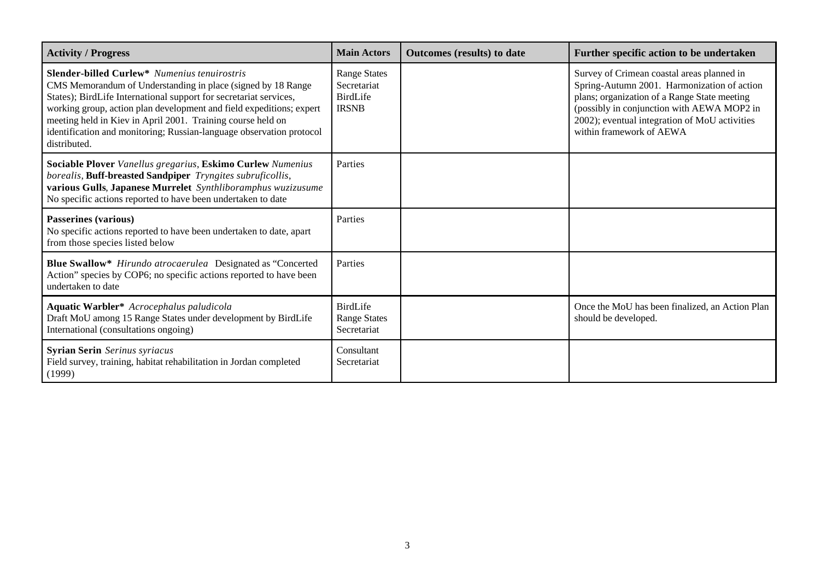| <b>Activity / Progress</b>                                                                                                                                                                                                                                                                                                                                                                                              | <b>Main Actors</b>                                                    | Outcomes (results) to date | Further specific action to be undertaken                                                                                                                                                                                                                             |
|-------------------------------------------------------------------------------------------------------------------------------------------------------------------------------------------------------------------------------------------------------------------------------------------------------------------------------------------------------------------------------------------------------------------------|-----------------------------------------------------------------------|----------------------------|----------------------------------------------------------------------------------------------------------------------------------------------------------------------------------------------------------------------------------------------------------------------|
| <b>Slender-billed Curlew*</b> Numenius tenuirostris<br>CMS Memorandum of Understanding in place (signed by 18 Range<br>States); BirdLife International support for secretariat services,<br>working group, action plan development and field expeditions; expert<br>meeting held in Kiev in April 2001. Training course held on<br>identification and monitoring; Russian-language observation protocol<br>distributed. | <b>Range States</b><br>Secretariat<br><b>BirdLife</b><br><b>IRSNB</b> |                            | Survey of Crimean coastal areas planned in<br>Spring-Autumn 2001. Harmonization of action<br>plans; organization of a Range State meeting<br>(possibly in conjunction with AEWA MOP2 in<br>2002); eventual integration of MoU activities<br>within framework of AEWA |
| Sociable Plover Vanellus gregarius, Eskimo Curlew Numenius<br>borealis, Buff-breasted Sandpiper Tryngites subruficollis,<br>various Gulls, Japanese Murrelet Synthliboramphus wuzizusume<br>No specific actions reported to have been undertaken to date                                                                                                                                                                | Parties                                                               |                            |                                                                                                                                                                                                                                                                      |
| <b>Passerines (various)</b><br>No specific actions reported to have been undertaken to date, apart<br>from those species listed below                                                                                                                                                                                                                                                                                   | Parties                                                               |                            |                                                                                                                                                                                                                                                                      |
| Blue Swallow* Hirundo atrocaerulea Designated as "Concerted<br>Action" species by COP6; no specific actions reported to have been<br>undertaken to date                                                                                                                                                                                                                                                                 | Parties                                                               |                            |                                                                                                                                                                                                                                                                      |
| Aquatic Warbler* Acrocephalus paludicola<br>Draft MoU among 15 Range States under development by BirdLife<br>International (consultations ongoing)                                                                                                                                                                                                                                                                      | <b>BirdLife</b><br><b>Range States</b><br>Secretariat                 |                            | Once the MoU has been finalized, an Action Plan<br>should be developed.                                                                                                                                                                                              |
| <b>Syrian Serin</b> Serinus syriacus<br>Field survey, training, habitat rehabilitation in Jordan completed<br>(1999)                                                                                                                                                                                                                                                                                                    | Consultant<br>Secretariat                                             |                            |                                                                                                                                                                                                                                                                      |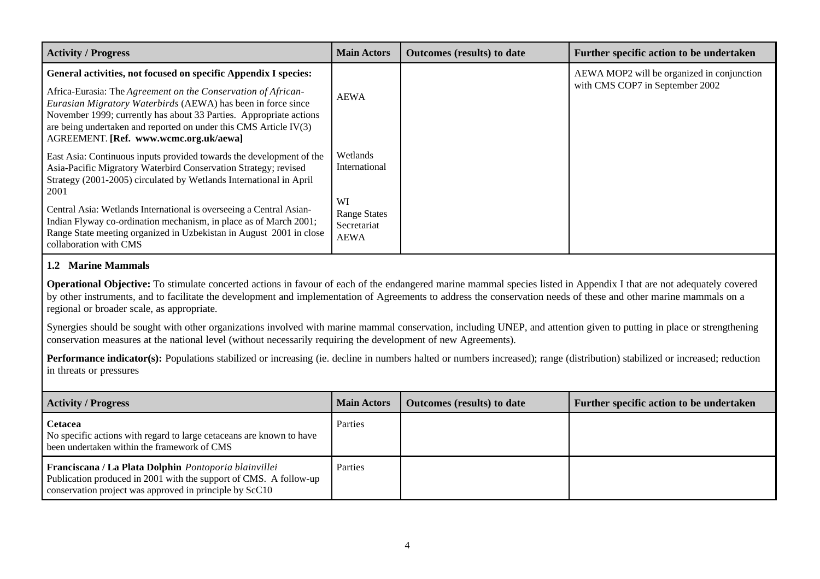| <b>Activity / Progress</b>                                                                                                                                                                                                                                                                                                                                                            | <b>Main Actors</b>                                | <b>Outcomes</b> (results) to date | Further specific action to be undertaken                                      |
|---------------------------------------------------------------------------------------------------------------------------------------------------------------------------------------------------------------------------------------------------------------------------------------------------------------------------------------------------------------------------------------|---------------------------------------------------|-----------------------------------|-------------------------------------------------------------------------------|
| General activities, not focused on specific Appendix I species:<br>Africa-Eurasia: The Agreement on the Conservation of African-<br>Eurasian Migratory Waterbirds (AEWA) has been in force since<br>November 1999; currently has about 33 Parties. Appropriate actions<br>are being undertaken and reported on under this CMS Article IV(3)<br>AGREEMENT. [Ref. www.wcmc.org.uk/aewa] | AEWA                                              |                                   | AEWA MOP2 will be organized in conjunction<br>with CMS COP7 in September 2002 |
| East Asia: Continuous inputs provided towards the development of the<br>Asia-Pacific Migratory Waterbird Conservation Strategy; revised<br>Strategy (2001-2005) circulated by Wetlands International in April<br>2001                                                                                                                                                                 | Wetlands<br>International<br>WI                   |                                   |                                                                               |
| Central Asia: Wetlands International is overseeing a Central Asian-<br>Indian Flyway co-ordination mechanism, in place as of March 2001;<br>Range State meeting organized in Uzbekistan in August 2001 in close<br>collaboration with CMS                                                                                                                                             | <b>Range States</b><br>Secretariat<br><b>AEWA</b> |                                   |                                                                               |

#### **1.2 Marine Mammals**

**Operational Objective:** To stimulate concerted actions in favour of each of the endangered marine mammal species listed in Appendix I that are not adequately covered by other instruments, and to facilitate the development and implementation of Agreements to address the conservation needs of these and other marine mammals on a regional or broader scale, as appropriate.

Synergies should be sought with other organizations involved with marine mammal conservation, including UNEP, and attention given to putting in place or strengthening conservation measures at the national level (without necessarily requiring the development of new Agreements).

| <b>Activity / Progress</b>                                                                                                                                                            | <b>Main Actors</b> | <b>Outcomes</b> (results) to date | Further specific action to be undertaken |
|---------------------------------------------------------------------------------------------------------------------------------------------------------------------------------------|--------------------|-----------------------------------|------------------------------------------|
| <b>Cetacea</b><br>No specific actions with regard to large cetaceans are known to have<br>been undertaken within the framework of CMS                                                 | Parties            |                                   |                                          |
| Franciscana / La Plata Dolphin Pontoporia blainvillei<br>Publication produced in 2001 with the support of CMS. A follow-up<br>conservation project was approved in principle by ScC10 | Parties            |                                   |                                          |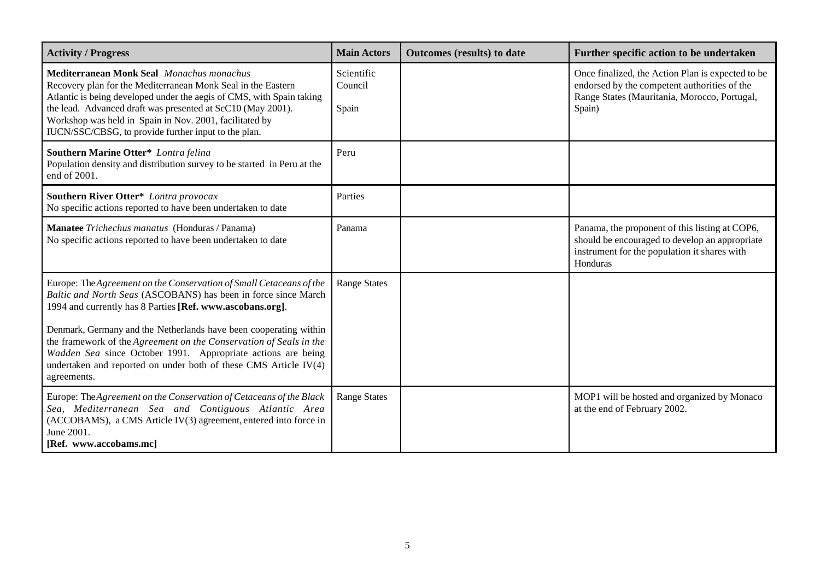| <b>Activity / Progress</b>                                                                                                                                                                                                                                                                                                                                                  | <b>Main Actors</b>             | <b>Outcomes</b> (results) to date | Further specific action to be undertaken                                                                                                                     |
|-----------------------------------------------------------------------------------------------------------------------------------------------------------------------------------------------------------------------------------------------------------------------------------------------------------------------------------------------------------------------------|--------------------------------|-----------------------------------|--------------------------------------------------------------------------------------------------------------------------------------------------------------|
| <b>Mediterranean Monk Seal</b> Monachus monachus<br>Recovery plan for the Mediterranean Monk Seal in the Eastern<br>Atlantic is being developed under the aegis of CMS, with Spain taking<br>the lead. Advanced draft was presented at ScC10 (May 2001).<br>Workshop was held in Spain in Nov. 2001, facilitated by<br>IUCN/SSC/CBSG, to provide further input to the plan. | Scientific<br>Council<br>Spain |                                   | Once finalized, the Action Plan is expected to be<br>endorsed by the competent authorities of the<br>Range States (Mauritania, Morocco, Portugal,<br>Spain)  |
| Southern Marine Otter* Lontra felina<br>Population density and distribution survey to be started in Peru at the<br>end of 2001.                                                                                                                                                                                                                                             | Peru                           |                                   |                                                                                                                                                              |
| <b>Southern River Otter*</b> Lontra provocax<br>No specific actions reported to have been undertaken to date                                                                                                                                                                                                                                                                | Parties                        |                                   |                                                                                                                                                              |
| Manatee Trichechus manatus (Honduras / Panama)<br>No specific actions reported to have been undertaken to date                                                                                                                                                                                                                                                              | Panama                         |                                   | Panama, the proponent of this listing at COP6,<br>should be encouraged to develop an appropriate<br>instrument for the population it shares with<br>Honduras |
| Europe: The Agreement on the Conservation of Small Cetaceans of the<br>Baltic and North Seas (ASCOBANS) has been in force since March<br>1994 and currently has 8 Parties [Ref. www.ascobans.org].                                                                                                                                                                          | <b>Range States</b>            |                                   |                                                                                                                                                              |
| Denmark, Germany and the Netherlands have been cooperating within<br>the framework of the Agreement on the Conservation of Seals in the<br>Wadden Sea since October 1991. Appropriate actions are being<br>undertaken and reported on under both of these CMS Article IV(4)<br>agreements.                                                                                  |                                |                                   |                                                                                                                                                              |
| Europe: The Agreement on the Conservation of Cetaceans of the Black<br>Sea, Mediterranean Sea and Contiguous Atlantic Area<br>(ACCOBAMS), a CMS Article IV(3) agreement, entered into force in<br>June 2001.<br>[Ref. www.accobams.mc]                                                                                                                                      | <b>Range States</b>            |                                   | MOP1 will be hosted and organized by Monaco<br>at the end of February 2002.                                                                                  |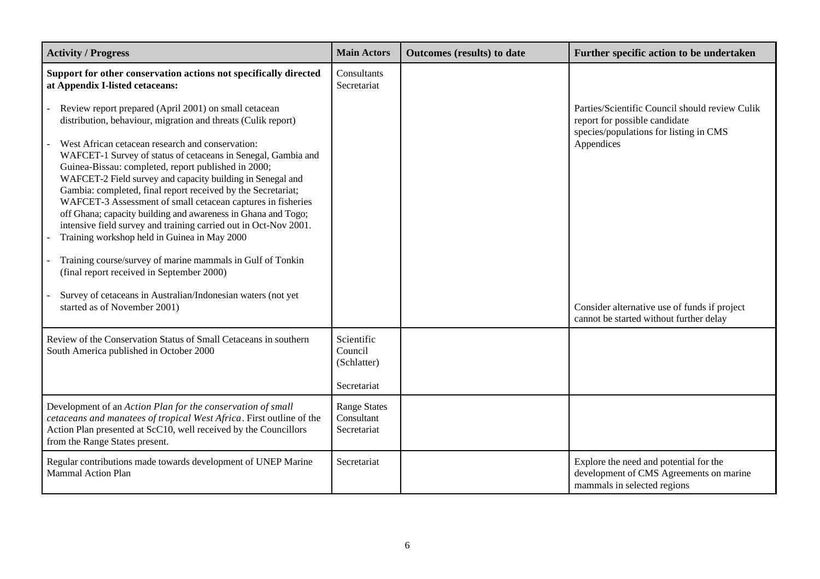| <b>Activity / Progress</b>                                                                                                                                                                                                                                                                                                                                                                                                                                                                                                                                                                                                                                                                                                                                                                                                                                                                      | <b>Main Actors</b>                                  | <b>Outcomes</b> (results) to date | Further specific action to be undertaken                                                                                                                                                                                           |
|-------------------------------------------------------------------------------------------------------------------------------------------------------------------------------------------------------------------------------------------------------------------------------------------------------------------------------------------------------------------------------------------------------------------------------------------------------------------------------------------------------------------------------------------------------------------------------------------------------------------------------------------------------------------------------------------------------------------------------------------------------------------------------------------------------------------------------------------------------------------------------------------------|-----------------------------------------------------|-----------------------------------|------------------------------------------------------------------------------------------------------------------------------------------------------------------------------------------------------------------------------------|
| Support for other conservation actions not specifically directed<br>at Appendix I-listed cetaceans:                                                                                                                                                                                                                                                                                                                                                                                                                                                                                                                                                                                                                                                                                                                                                                                             | Consultants<br>Secretariat                          |                                   |                                                                                                                                                                                                                                    |
| Review report prepared (April 2001) on small cetacean<br>distribution, behaviour, migration and threats (Culik report)<br>West African cetacean research and conservation:<br>WAFCET-1 Survey of status of cetaceans in Senegal, Gambia and<br>Guinea-Bissau: completed, report published in 2000;<br>WAFCET-2 Field survey and capacity building in Senegal and<br>Gambia: completed, final report received by the Secretariat;<br>WAFCET-3 Assessment of small cetacean captures in fisheries<br>off Ghana; capacity building and awareness in Ghana and Togo;<br>intensive field survey and training carried out in Oct-Nov 2001.<br>Training workshop held in Guinea in May 2000<br>Training course/survey of marine mammals in Gulf of Tonkin<br>(final report received in September 2000)<br>Survey of cetaceans in Australian/Indonesian waters (not yet<br>started as of November 2001) |                                                     |                                   | Parties/Scientific Council should review Culik<br>report for possible candidate<br>species/populations for listing in CMS<br>Appendices<br>Consider alternative use of funds if project<br>cannot be started without further delay |
| Review of the Conservation Status of Small Cetaceans in southern<br>South America published in October 2000                                                                                                                                                                                                                                                                                                                                                                                                                                                                                                                                                                                                                                                                                                                                                                                     | Scientific<br>Council<br>(Schlatter)<br>Secretariat |                                   |                                                                                                                                                                                                                                    |
| Development of an Action Plan for the conservation of small<br>cetaceans and manatees of tropical West Africa. First outline of the<br>Action Plan presented at ScC10, well received by the Councillors<br>from the Range States present.                                                                                                                                                                                                                                                                                                                                                                                                                                                                                                                                                                                                                                                       | <b>Range States</b><br>Consultant<br>Secretariat    |                                   |                                                                                                                                                                                                                                    |
| Regular contributions made towards development of UNEP Marine<br><b>Mammal Action Plan</b>                                                                                                                                                                                                                                                                                                                                                                                                                                                                                                                                                                                                                                                                                                                                                                                                      | Secretariat                                         |                                   | Explore the need and potential for the<br>development of CMS Agreements on marine<br>mammals in selected regions                                                                                                                   |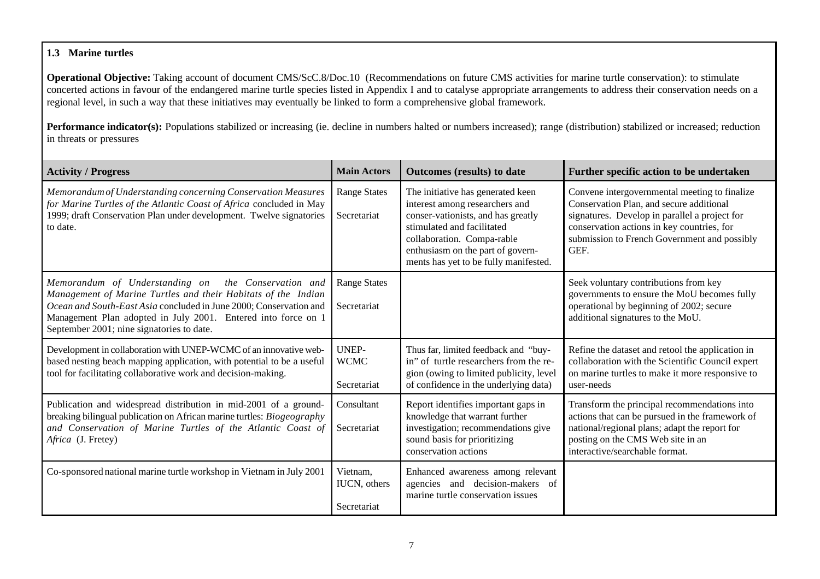### **1.3 Marine turtles**

**Operational Objective:** Taking account of document CMS/ScC.8/Doc.10 (Recommendations on future CMS activities for marine turtle conservation): to stimulate concerted actions in favour of the endangered marine turtle species listed in Appendix I and to catalyse appropriate arrangements to address their conservation needs on a regional level, in such a way that these initiatives may eventually be linked to form a comprehensive global framework.

| <b>Activity / Progress</b>                                                                                                                                                                                                                                                                               | <b>Main Actors</b>                      | <b>Outcomes (results) to date</b>                                                                                                                                                                                                                   | Further specific action to be undertaken                                                                                                                                                                                                         |
|----------------------------------------------------------------------------------------------------------------------------------------------------------------------------------------------------------------------------------------------------------------------------------------------------------|-----------------------------------------|-----------------------------------------------------------------------------------------------------------------------------------------------------------------------------------------------------------------------------------------------------|--------------------------------------------------------------------------------------------------------------------------------------------------------------------------------------------------------------------------------------------------|
| Memorandum of Understanding concerning Conservation Measures<br>for Marine Turtles of the Atlantic Coast of Africa concluded in May<br>1999; draft Conservation Plan under development. Twelve signatories<br>to date.                                                                                   | <b>Range States</b><br>Secretariat      | The initiative has generated keen<br>interest among researchers and<br>conser-vationists, and has greatly<br>stimulated and facilitated<br>collaboration. Compa-rable<br>enthusiasm on the part of govern-<br>ments has yet to be fully manifested. | Convene intergovernmental meeting to finalize<br>Conservation Plan, and secure additional<br>signatures. Develop in parallel a project for<br>conservation actions in key countries, for<br>submission to French Government and possibly<br>GEF. |
| Memorandum of Understanding on the Conservation and<br>Management of Marine Turtles and their Habitats of the Indian<br>Ocean and South-East Asia concluded in June 2000; Conservation and<br>Management Plan adopted in July 2001. Entered into force on 1<br>September 2001; nine signatories to date. | <b>Range States</b><br>Secretariat      |                                                                                                                                                                                                                                                     | Seek voluntary contributions from key<br>governments to ensure the MoU becomes fully<br>operational by beginning of 2002; secure<br>additional signatures to the MoU.                                                                            |
| Development in collaboration with UNEP-WCMC of an innovative web-<br>based nesting beach mapping application, with potential to be a useful<br>tool for facilitating collaborative work and decision-making.                                                                                             | UNEP-<br><b>WCMC</b><br>Secretariat     | Thus far, limited feedback and "buy-<br>in" of turtle researchers from the re-<br>gion (owing to limited publicity, level<br>of confidence in the underlying data)                                                                                  | Refine the dataset and retool the application in<br>collaboration with the Scientific Council expert<br>on marine turtles to make it more responsive to<br>user-needs                                                                            |
| Publication and widespread distribution in mid-2001 of a ground-<br>breaking bilingual publication on African marine turtles: Biogeography<br>and Conservation of Marine Turtles of the Atlantic Coast of<br>Africa (J. Fretey)                                                                          | Consultant<br>Secretariat               | Report identifies important gaps in<br>knowledge that warrant further<br>investigation; recommendations give<br>sound basis for prioritizing<br>conservation actions                                                                                | Transform the principal recommendations into<br>actions that can be pursued in the framework of<br>national/regional plans; adapt the report for<br>posting on the CMS Web site in an<br>interactive/searchable format.                          |
| Co-sponsored national marine turtle workshop in Vietnam in July 2001                                                                                                                                                                                                                                     | Vietnam,<br>IUCN, others<br>Secretariat | Enhanced awareness among relevant<br>agencies and decision-makers of<br>marine turtle conservation issues                                                                                                                                           |                                                                                                                                                                                                                                                  |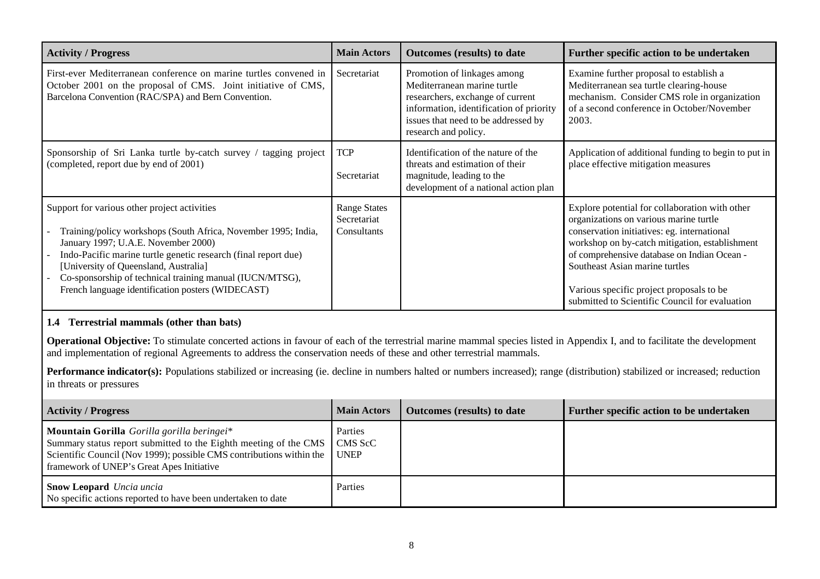| <b>Activity / Progress</b>                                                                                                                                                                                                                                                                                                                                                        | <b>Main Actors</b>                                | Outcomes (results) to date                                                                                                                                                                               | Further specific action to be undertaken                                                                                                                                                                                                                                                                                                                                 |
|-----------------------------------------------------------------------------------------------------------------------------------------------------------------------------------------------------------------------------------------------------------------------------------------------------------------------------------------------------------------------------------|---------------------------------------------------|----------------------------------------------------------------------------------------------------------------------------------------------------------------------------------------------------------|--------------------------------------------------------------------------------------------------------------------------------------------------------------------------------------------------------------------------------------------------------------------------------------------------------------------------------------------------------------------------|
| First-ever Mediterranean conference on marine turtles convened in<br>October 2001 on the proposal of CMS. Joint initiative of CMS,<br>Barcelona Convention (RAC/SPA) and Bern Convention.                                                                                                                                                                                         | Secretariat                                       | Promotion of linkages among<br>Mediterranean marine turtle<br>researchers, exchange of current<br>information, identification of priority<br>issues that need to be addressed by<br>research and policy. | Examine further proposal to establish a<br>Mediterranean sea turtle clearing-house<br>mechanism. Consider CMS role in organization<br>of a second conference in October/November<br>2003.                                                                                                                                                                                |
| Sponsorship of Sri Lanka turtle by-catch survey / tagging project<br>(completed, report due by end of 2001)                                                                                                                                                                                                                                                                       | <b>TCP</b><br>Secretariat                         | Identification of the nature of the<br>threats and estimation of their<br>magnitude, leading to the<br>development of a national action plan                                                             | Application of additional funding to begin to put in<br>place effective mitigation measures                                                                                                                                                                                                                                                                              |
| Support for various other project activities<br>Training/policy workshops (South Africa, November 1995; India,<br>January 1997; U.A.E. November 2000)<br>Indo-Pacific marine turtle genetic research (final report due)<br>[University of Queensland, Australia]<br>Co-sponsorship of technical training manual (IUCN/MTSG),<br>French language identification posters (WIDECAST) | <b>Range States</b><br>Secretariat<br>Consultants |                                                                                                                                                                                                          | Explore potential for collaboration with other<br>organizations on various marine turtle<br>conservation initiatives: eg. international<br>workshop on by-catch mitigation, establishment<br>of comprehensive database on Indian Ocean -<br>Southeast Asian marine turtles<br>Various specific project proposals to be<br>submitted to Scientific Council for evaluation |

## **1.4 Terrestrial mammals (other than bats)**

**Operational Objective:** To stimulate concerted actions in favour of each of the terrestrial marine mammal species listed in Appendix I, and to facilitate the development and implementation of regional Agreements to address the conservation needs of these and other terrestrial mammals.

| <b>Activity / Progress</b>                                                                                                                                                                                                               | <b>Main Actors</b> | <b>Outcomes</b> (results) to date | Further specific action to be undertaken |
|------------------------------------------------------------------------------------------------------------------------------------------------------------------------------------------------------------------------------------------|--------------------|-----------------------------------|------------------------------------------|
| Mountain Gorilla Gorilla gorilla beringei*<br>Summary status report submitted to the Eighth meeting of the CMS<br>Scientific Council (Nov 1999); possible CMS contributions within the UNEP<br>framework of UNEP's Great Apes Initiative | Parties<br>CMS ScC |                                   |                                          |
| <b>Snow Leopard</b> Uncia uncia<br>No specific actions reported to have been undertaken to date                                                                                                                                          | Parties            |                                   |                                          |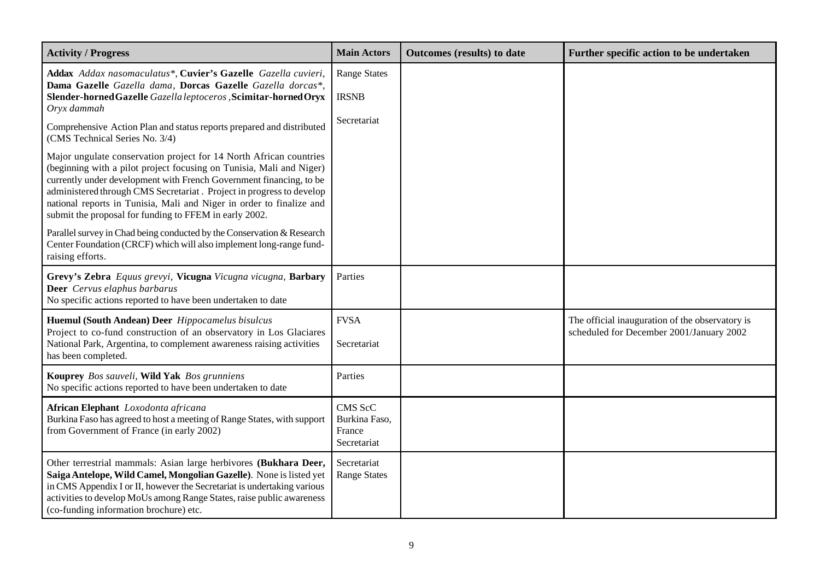| <b>Activity / Progress</b>                                                                                                                                                                                                                                                                                                                                                                                                  | <b>Main Actors</b>                                | Outcomes (results) to date | Further specific action to be undertaken                                                    |
|-----------------------------------------------------------------------------------------------------------------------------------------------------------------------------------------------------------------------------------------------------------------------------------------------------------------------------------------------------------------------------------------------------------------------------|---------------------------------------------------|----------------------------|---------------------------------------------------------------------------------------------|
| Addax Addax nasomaculatus*, Cuvier's Gazelle Gazella cuvieri,<br>Dama Gazelle Gazella dama, Dorcas Gazelle Gazella dorcas*,<br>Slender-horned Gazelle Gazella leptoceros, Scimitar-horned Oryx<br>Oryx dammah                                                                                                                                                                                                               | <b>Range States</b><br><b>IRSNB</b>               |                            |                                                                                             |
| Comprehensive Action Plan and status reports prepared and distributed<br>(CMS Technical Series No. 3/4)                                                                                                                                                                                                                                                                                                                     | Secretariat                                       |                            |                                                                                             |
| Major ungulate conservation project for 14 North African countries<br>(beginning with a pilot project focusing on Tunisia, Mali and Niger)<br>currently under development with French Government financing, to be<br>administered through CMS Secretariat. Project in progress to develop<br>national reports in Tunisia, Mali and Niger in order to finalize and<br>submit the proposal for funding to FFEM in early 2002. |                                                   |                            |                                                                                             |
| Parallel survey in Chad being conducted by the Conservation & Research<br>Center Foundation (CRCF) which will also implement long-range fund-<br>raising efforts.                                                                                                                                                                                                                                                           |                                                   |                            |                                                                                             |
| Grevy's Zebra Equus grevyi, Vicugna Vicugna vicugna, Barbary<br>Deer Cervus elaphus barbarus<br>No specific actions reported to have been undertaken to date                                                                                                                                                                                                                                                                | Parties                                           |                            |                                                                                             |
| Huemul (South Andean) Deer Hippocamelus bisulcus<br>Project to co-fund construction of an observatory in Los Glaciares<br>National Park, Argentina, to complement awareness raising activities<br>has been completed.                                                                                                                                                                                                       | <b>FVSA</b><br>Secretariat                        |                            | The official inauguration of the observatory is<br>scheduled for December 2001/January 2002 |
| Kouprey Bos sauveli, Wild Yak Bos grunniens<br>No specific actions reported to have been undertaken to date                                                                                                                                                                                                                                                                                                                 | Parties                                           |                            |                                                                                             |
| African Elephant Loxodonta africana<br>Burkina Faso has agreed to host a meeting of Range States, with support<br>from Government of France (in early 2002)                                                                                                                                                                                                                                                                 | CMS ScC<br>Burkina Faso,<br>France<br>Secretariat |                            |                                                                                             |
| Other terrestrial mammals: Asian large herbivores (Bukhara Deer,<br>Saiga Antelope, Wild Camel, Mongolian Gazelle). None is listed yet<br>in CMS Appendix I or II, however the Secretariat is undertaking various<br>activities to develop MoUs among Range States, raise public awareness<br>(co-funding information brochure) etc.                                                                                        | Secretariat<br><b>Range States</b>                |                            |                                                                                             |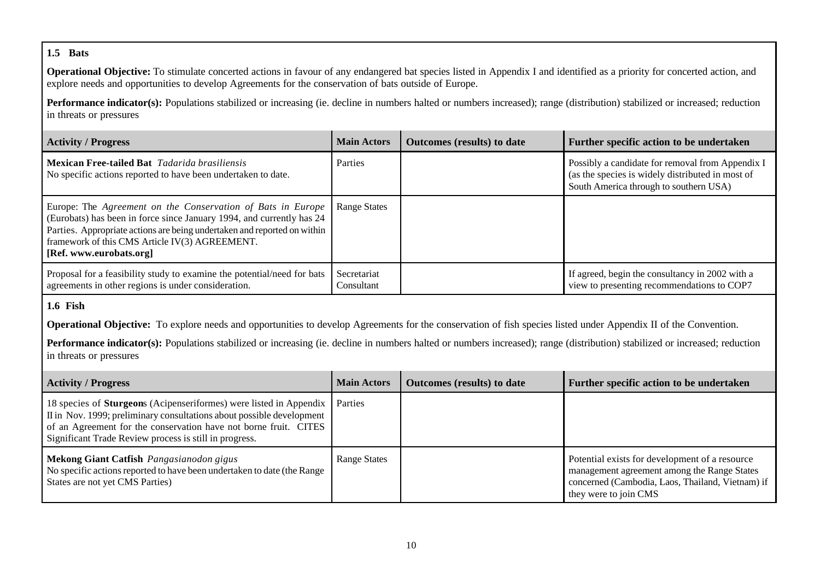#### **1.5 Bats**

**Operational Objective:** To stimulate concerted actions in favour of any endangered bat species listed in Appendix I and identified as a priority for concerted action, and explore needs and opportunities to develop Agreements for the conservation of bats outside of Europe.

Performance indicator(s): Populations stabilized or increasing (ie. decline in numbers halted or numbers increased); range (distribution) stabilized or increased; reduction in threats or pressures

| <b>Activity / Progress</b>                                                                                                                                                                                                                                                                    | <b>Main Actors</b>        | <b>Outcomes</b> (results) to date | Further specific action to be undertaken                                                                                                       |
|-----------------------------------------------------------------------------------------------------------------------------------------------------------------------------------------------------------------------------------------------------------------------------------------------|---------------------------|-----------------------------------|------------------------------------------------------------------------------------------------------------------------------------------------|
| <b>Mexican Free-tailed Bat</b> Tadarida brasiliensis<br>No specific actions reported to have been undertaken to date.                                                                                                                                                                         | Parties                   |                                   | Possibly a candidate for removal from Appendix I<br>(as the species is widely distributed in most of<br>South America through to southern USA) |
| Europe: The Agreement on the Conservation of Bats in Europe<br>(Eurobats) has been in force since January 1994, and currently has 24<br>Parties. Appropriate actions are being undertaken and reported on within<br>framework of this CMS Article IV(3) AGREEMENT.<br>[Ref. www.eurobats.org] | <b>Range States</b>       |                                   |                                                                                                                                                |
| Proposal for a feasibility study to examine the potential/need for bats<br>agreements in other regions is under consideration.                                                                                                                                                                | Secretariat<br>Consultant |                                   | If agreed, begin the consultancy in 2002 with a<br>view to presenting recommendations to COP7                                                  |

## **1.6 Fish**

**Operational Objective:** To explore needs and opportunities to develop Agreements for the conservation of fish species listed under Appendix II of the Convention.

| <b>Activity / Progress</b>                                                                                                                                                                                                                                                                | <b>Main Actors</b>  | <b>Outcomes</b> (results) to date | Further specific action to be undertaken                                                                                                                                   |
|-------------------------------------------------------------------------------------------------------------------------------------------------------------------------------------------------------------------------------------------------------------------------------------------|---------------------|-----------------------------------|----------------------------------------------------------------------------------------------------------------------------------------------------------------------------|
| 18 species of <b>Sturgeon</b> s (Acipenseriformes) were listed in Appendix Parties<br>II in Nov. 1999; preliminary consultations about possible development<br>of an Agreement for the conservation have not borne fruit. CITES<br>Significant Trade Review process is still in progress. |                     |                                   |                                                                                                                                                                            |
| Mekong Giant Catfish Pangasianodon gigus<br>No specific actions reported to have been undertaken to date (the Range<br>States are not yet CMS Parties)                                                                                                                                    | <b>Range States</b> |                                   | Potential exists for development of a resource<br>management agreement among the Range States<br>concerned (Cambodia, Laos, Thailand, Vietnam) if<br>they were to join CMS |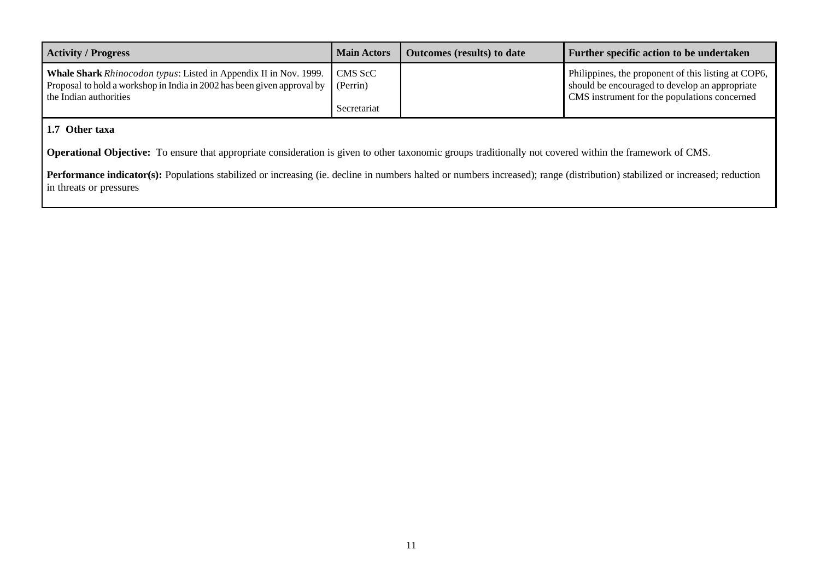| <b>Activity / Progress</b>                                                                                                                                                                              | <b>Main Actors</b> | <b>Outcomes</b> (results) to date | Further specific action to be undertaken                                                                                                              |
|---------------------------------------------------------------------------------------------------------------------------------------------------------------------------------------------------------|--------------------|-----------------------------------|-------------------------------------------------------------------------------------------------------------------------------------------------------|
| <b>Whale Shark</b> Rhinocodon typus: Listed in Appendix II in Nov. 1999.<br>Proposal to hold a workshop in India in 2002 has been given approval by $\left  \right $ (Perrin)<br>the Indian authorities | CMS ScC            |                                   | Philippines, the proponent of this listing at COP6,<br>should be encouraged to develop an appropriate<br>CMS instrument for the populations concerned |
|                                                                                                                                                                                                         | Secretariat        |                                   |                                                                                                                                                       |

## **1.7 Other taxa**

**Operational Objective:** To ensure that appropriate consideration is given to other taxonomic groups traditionally not covered within the framework of CMS.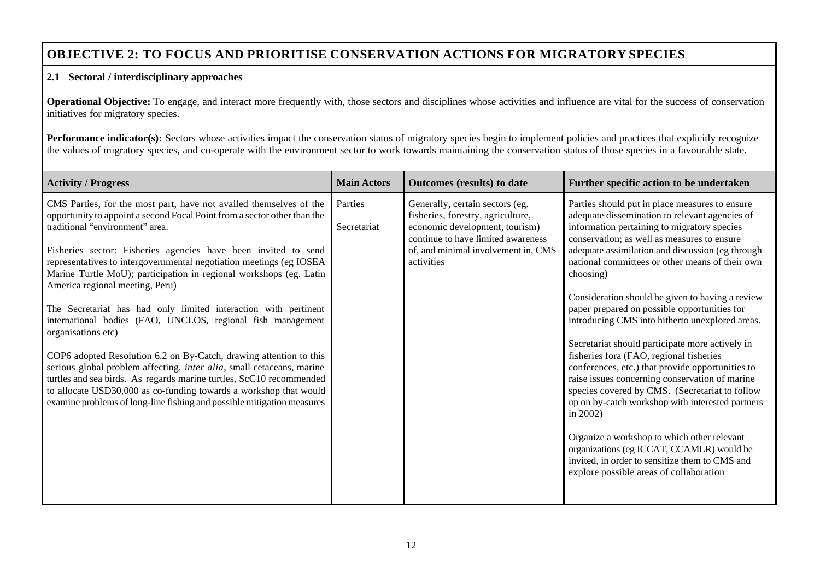# **OBJECTIVE 2: TO FOCUS AND PRIORITISE CONSERVATION ACTIONS FOR MIGRATORY SPECIES**

#### **2.1 Sectoral / interdisciplinary approaches**

**Operational Objective:** To engage, and interact more frequently with, those sectors and disciplines whose activities and influence are vital for the success of conservation initiatives for migratory species.

**Performance indicator(s):** Sectors whose activities impact the conservation status of migratory species begin to implement policies and practices that explicitly recognize the values of migratory species, and co-operate with the environment sector to work towards maintaining the conservation status of those species in a favourable state.

| <b>Activity / Progress</b>                                                                                                                                                                                                                                                                                                                                                                                                                                                                                                                                                                                                                                                                                                                                                                                                                                                                                                                                       | <b>Main Actors</b>     | Outcomes (results) to date                                                                                                                                                                        | Further specific action to be undertaken                                                                                                                                                                                                                                                                                                                                                                                                                                                                                                                                                                                                                                                                                                                                                                                                                                                                                                                                                 |
|------------------------------------------------------------------------------------------------------------------------------------------------------------------------------------------------------------------------------------------------------------------------------------------------------------------------------------------------------------------------------------------------------------------------------------------------------------------------------------------------------------------------------------------------------------------------------------------------------------------------------------------------------------------------------------------------------------------------------------------------------------------------------------------------------------------------------------------------------------------------------------------------------------------------------------------------------------------|------------------------|---------------------------------------------------------------------------------------------------------------------------------------------------------------------------------------------------|------------------------------------------------------------------------------------------------------------------------------------------------------------------------------------------------------------------------------------------------------------------------------------------------------------------------------------------------------------------------------------------------------------------------------------------------------------------------------------------------------------------------------------------------------------------------------------------------------------------------------------------------------------------------------------------------------------------------------------------------------------------------------------------------------------------------------------------------------------------------------------------------------------------------------------------------------------------------------------------|
| CMS Parties, for the most part, have not availed themselves of the<br>opportunity to appoint a second Focal Point from a sector other than the<br>traditional "environment" area.<br>Fisheries sector: Fisheries agencies have been invited to send<br>representatives to intergovernmental negotiation meetings (eg IOSEA<br>Marine Turtle MoU); participation in regional workshops (eg. Latin<br>America regional meeting, Peru)<br>The Secretariat has had only limited interaction with pertinent<br>international bodies (FAO, UNCLOS, regional fish management<br>organisations etc)<br>COP6 adopted Resolution 6.2 on By-Catch, drawing attention to this<br>serious global problem affecting, inter alia, small cetaceans, marine<br>turtles and sea birds. As regards marine turtles, ScC10 recommended<br>to allocate USD30,000 as co-funding towards a workshop that would<br>examine problems of long-line fishing and possible mitigation measures | Parties<br>Secretariat | Generally, certain sectors (eg.<br>fisheries, forestry, agriculture,<br>economic development, tourism)<br>continue to have limited awareness<br>of, and minimal involvement in, CMS<br>activities | Parties should put in place measures to ensure<br>adequate dissemination to relevant agencies of<br>information pertaining to migratory species<br>conservation; as well as measures to ensure<br>adequate assimilation and discussion (eg through<br>national committees or other means of their own<br>choosing)<br>Consideration should be given to having a review<br>paper prepared on possible opportunities for<br>introducing CMS into hitherto unexplored areas.<br>Secretariat should participate more actively in<br>fisheries fora (FAO, regional fisheries<br>conferences, etc.) that provide opportunities to<br>raise issues concerning conservation of marine<br>species covered by CMS. (Secretariat to follow<br>up on by-catch workshop with interested partners<br>in 2002)<br>Organize a workshop to which other relevant<br>organizations (eg ICCAT, CCAMLR) would be<br>invited, in order to sensitize them to CMS and<br>explore possible areas of collaboration |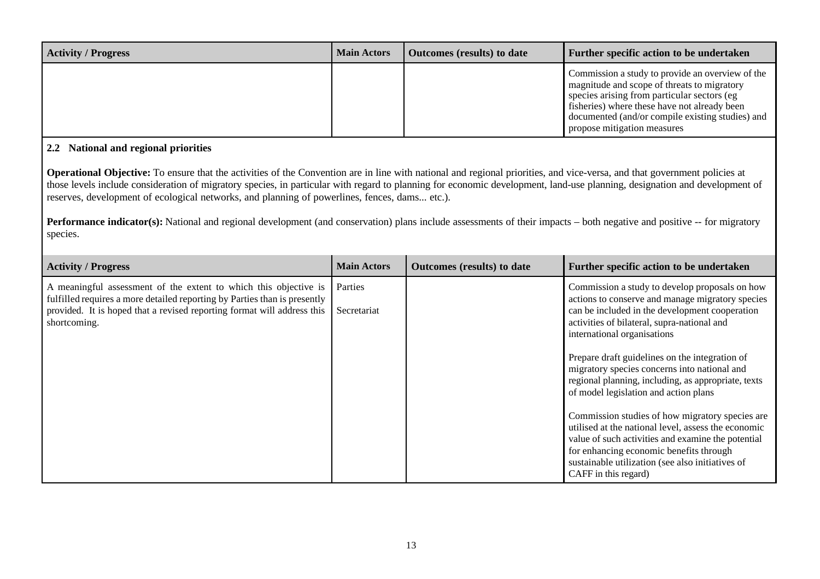| <b>Activity / Progress</b> | <b>Main Actors</b> | <b>Outcomes</b> (results) to date | Further specific action to be undertaken                                                                                                                                                                                                                                          |
|----------------------------|--------------------|-----------------------------------|-----------------------------------------------------------------------------------------------------------------------------------------------------------------------------------------------------------------------------------------------------------------------------------|
|                            |                    |                                   | Commission a study to provide an overview of the<br>magnitude and scope of threats to migratory<br>species arising from particular sectors (eg<br>fisheries) where these have not already been<br>documented (and/or compile existing studies) and<br>propose mitigation measures |

### **2.2 National and regional priorities**

**Operational Objective:** To ensure that the activities of the Convention are in line with national and regional priorities, and vice-versa, and that government policies at those levels include consideration of migratory species, in particular with regard to planning for economic development, land-use planning, designation and development of reserves, development of ecological networks, and planning of powerlines, fences, dams... etc.).

**Performance indicator(s):** National and regional development (and conservation) plans include assessments of their impacts – both negative and positive -- for migratory species.

| <b>Activity / Progress</b>                                                                                                                                                                                                               | <b>Main Actors</b>     | Outcomes (results) to date | Further specific action to be undertaken                                                                                                                                                                                                                                                                                                                                                                                                                                                |
|------------------------------------------------------------------------------------------------------------------------------------------------------------------------------------------------------------------------------------------|------------------------|----------------------------|-----------------------------------------------------------------------------------------------------------------------------------------------------------------------------------------------------------------------------------------------------------------------------------------------------------------------------------------------------------------------------------------------------------------------------------------------------------------------------------------|
| A meaningful assessment of the extent to which this objective is<br>fulfilled requires a more detailed reporting by Parties than is presently<br>provided. It is hoped that a revised reporting format will address this<br>shortcoming. | Parties<br>Secretariat |                            | Commission a study to develop proposals on how<br>actions to conserve and manage migratory species<br>can be included in the development cooperation<br>activities of bilateral, supra-national and<br>international organisations<br>Prepare draft guidelines on the integration of<br>migratory species concerns into national and<br>regional planning, including, as appropriate, texts<br>of model legislation and action plans<br>Commission studies of how migratory species are |
|                                                                                                                                                                                                                                          |                        |                            | utilised at the national level, assess the economic<br>value of such activities and examine the potential<br>for enhancing economic benefits through<br>sustainable utilization (see also initiatives of<br>CAFF in this regard)                                                                                                                                                                                                                                                        |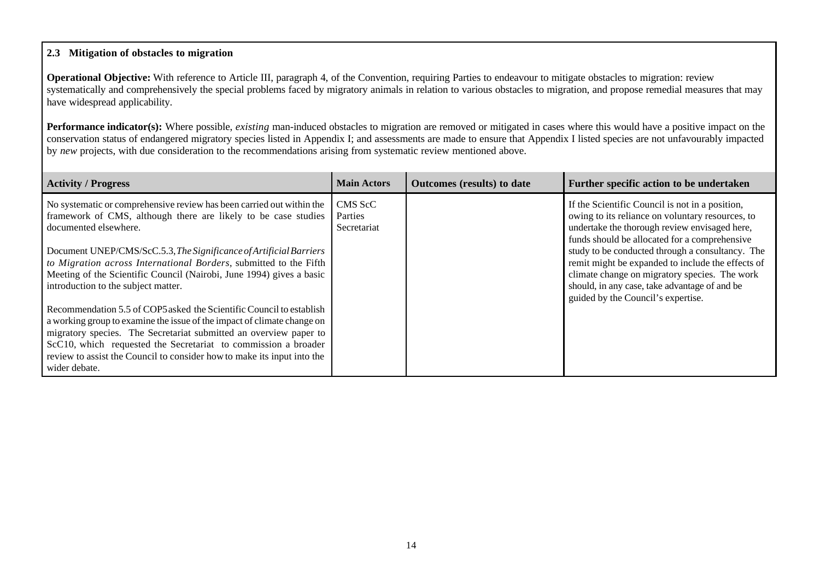#### **2.3 Mitigation of obstacles to migration**

**Operational Objective:** With reference to Article III, paragraph 4, of the Convention, requiring Parties to endeavour to mitigate obstacles to migration: review systematically and comprehensively the special problems faced by migratory animals in relation to various obstacles to migration, and propose remedial measures that may have widespread applicability.

**Performance indicator(s):** Where possible, *existing* man-induced obstacles to migration are removed or mitigated in cases where this would have a positive impact on the conservation status of endangered migratory species listed in Appendix I; and assessments are made to ensure that Appendix I listed species are not unfavourably impacted by *new* projects, with due consideration to the recommendations arising from systematic review mentioned above.

| <b>Activity / Progress</b>                                                                                                                   | <b>Main Actors</b> | <b>Outcomes</b> (results) to date | Further specific action to be undertaken                                                              |
|----------------------------------------------------------------------------------------------------------------------------------------------|--------------------|-----------------------------------|-------------------------------------------------------------------------------------------------------|
| No systematic or comprehensive review has been carried out within the<br>framework of CMS, although there are likely to be case studies      | CMS ScC<br>Parties |                                   | If the Scientific Council is not in a position,<br>owing to its reliance on voluntary resources, to   |
| documented elsewhere.                                                                                                                        | Secretariat        |                                   | undertake the thorough review envisaged here,                                                         |
|                                                                                                                                              |                    |                                   | funds should be allocated for a comprehensive                                                         |
| Document UNEP/CMS/ScC.5.3, The Significance of Artificial Barriers<br>to Migration across International Borders, submitted to the Fifth      |                    |                                   | study to be conducted through a consultancy. The<br>remit might be expanded to include the effects of |
| Meeting of the Scientific Council (Nairobi, June 1994) gives a basic                                                                         |                    |                                   | climate change on migratory species. The work                                                         |
| introduction to the subject matter.                                                                                                          |                    |                                   | should, in any case, take advantage of and be<br>guided by the Council's expertise.                   |
| Recommendation 5.5 of COP5 asked the Scientific Council to establish                                                                         |                    |                                   |                                                                                                       |
| a working group to examine the issue of the impact of climate change on<br>migratory species. The Secretariat submitted an overview paper to |                    |                                   |                                                                                                       |
| ScC10, which requested the Secretariat to commission a broader                                                                               |                    |                                   |                                                                                                       |
| review to assist the Council to consider how to make its input into the<br>wider debate.                                                     |                    |                                   |                                                                                                       |
|                                                                                                                                              |                    |                                   |                                                                                                       |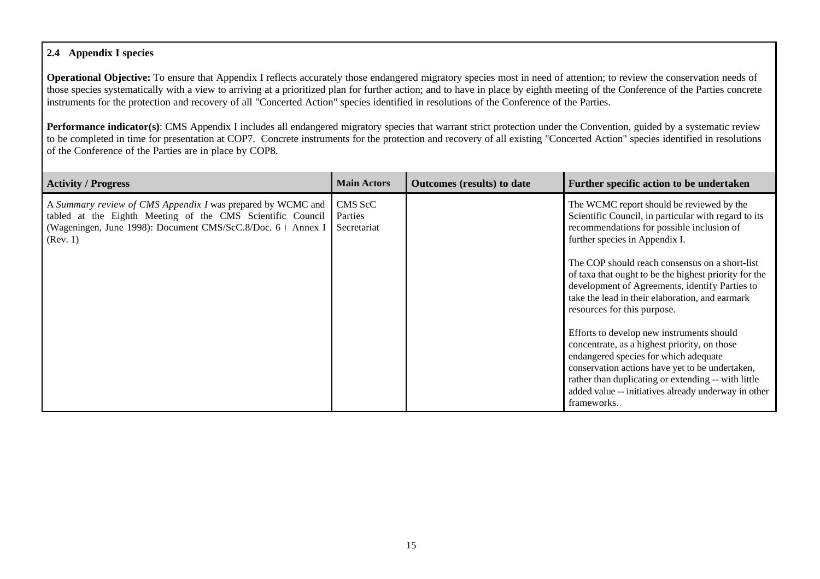### **2.4 Appendix I species**

**Operational Objective:** To ensure that Appendix I reflects accurately those endangered migratory species most in need of attention; to review the conservation needs of those species systematically with a view to arriving at a prioritized plan for further action; and to have in place by eighth meeting of the Conference of the Parties concrete instruments for the protection and recovery of all "Concerted Action" species identified in resolutions of the Conference of the Parties.

**Performance indicator(s):** CMS Appendix I includes all endangered migratory species that warrant strict protection under the Convention, guided by a systematic review to be completed in time for presentation at COP7. Concrete instruments for the protection and recovery of all existing "Concerted Action" species identified in resolutions of the Conference of the Parties are in place by COP8.

| <b>Activity / Progress</b>                                                                                                                                                                           | <b>Main Actors</b>                | <b>Outcomes</b> (results) to date | Further specific action to be undertaken                                                                                                                                                                                                                                                                            |
|------------------------------------------------------------------------------------------------------------------------------------------------------------------------------------------------------|-----------------------------------|-----------------------------------|---------------------------------------------------------------------------------------------------------------------------------------------------------------------------------------------------------------------------------------------------------------------------------------------------------------------|
| A Summary review of CMS Appendix I was prepared by WCMC and<br>tabled at the Eighth Meeting of the CMS Scientific Council<br>(Wageningen, June 1998): Document CMS/ScC.8/Doc. 6) Annex I<br>(Rev. 1) | CMS ScC<br>Parties<br>Secretariat |                                   | The WCMC report should be reviewed by the<br>Scientific Council, in particular with regard to its<br>recommendations for possible inclusion of<br>further species in Appendix I.                                                                                                                                    |
|                                                                                                                                                                                                      |                                   |                                   | The COP should reach consensus on a short-list<br>of taxa that ought to be the highest priority for the<br>development of Agreements, identify Parties to<br>take the lead in their elaboration, and earmark<br>resources for this purpose.                                                                         |
|                                                                                                                                                                                                      |                                   |                                   | Efforts to develop new instruments should<br>concentrate, as a highest priority, on those<br>endangered species for which adequate<br>conservation actions have yet to be undertaken,<br>rather than duplicating or extending -- with little<br>added value -- initiatives already underway in other<br>frameworks. |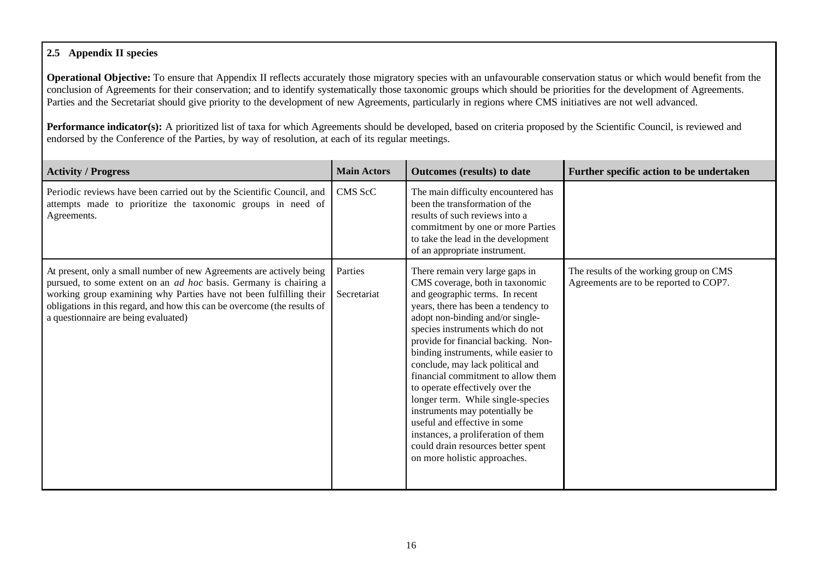## **2.5 Appendix II species**

**Operational Objective:** To ensure that Appendix II reflects accurately those migratory species with an unfavourable conservation status or which would benefit from the conclusion of Agreements for their conservation; and to identify systematically those taxonomic groups which should be priorities for the development of Agreements. Parties and the Secretariat should give priority to the development of new Agreements, particularly in regions where CMS initiatives are not well advanced.

Performance indicator(s): A prioritized list of taxa for which Agreements should be developed, based on criteria proposed by the Scientific Council, is reviewed and endorsed by the Conference of the Parties, by way of resolution, at each of its regular meetings.

| <b>Activity / Progress</b>                                                                                                                                                                                                                                                                                                                 | <b>Main Actors</b>     | Outcomes (results) to date                                                                                                                                                                                                                                                                                                                                                                                                                                                                                                                                                                                                          | Further specific action to be undertaken                                          |
|--------------------------------------------------------------------------------------------------------------------------------------------------------------------------------------------------------------------------------------------------------------------------------------------------------------------------------------------|------------------------|-------------------------------------------------------------------------------------------------------------------------------------------------------------------------------------------------------------------------------------------------------------------------------------------------------------------------------------------------------------------------------------------------------------------------------------------------------------------------------------------------------------------------------------------------------------------------------------------------------------------------------------|-----------------------------------------------------------------------------------|
| Periodic reviews have been carried out by the Scientific Council, and<br>attempts made to prioritize the taxonomic groups in need of<br>Agreements.                                                                                                                                                                                        | CMS ScC                | The main difficulty encountered has<br>been the transformation of the<br>results of such reviews into a<br>commitment by one or more Parties<br>to take the lead in the development<br>of an appropriate instrument.                                                                                                                                                                                                                                                                                                                                                                                                                |                                                                                   |
| At present, only a small number of new Agreements are actively being<br>pursued, to some extent on an <i>ad hoc</i> basis. Germany is chairing a<br>working group examining why Parties have not been fulfilling their<br>obligations in this regard, and how this can be overcome (the results of<br>a questionnaire are being evaluated) | Parties<br>Secretariat | There remain very large gaps in<br>CMS coverage, both in taxonomic<br>and geographic terms. In recent<br>years, there has been a tendency to<br>adopt non-binding and/or single-<br>species instruments which do not<br>provide for financial backing. Non-<br>binding instruments, while easier to<br>conclude, may lack political and<br>financial commitment to allow them<br>to operate effectively over the<br>longer term. While single-species<br>instruments may potentially be<br>useful and effective in some<br>instances, a proliferation of them<br>could drain resources better spent<br>on more holistic approaches. | The results of the working group on CMS<br>Agreements are to be reported to COP7. |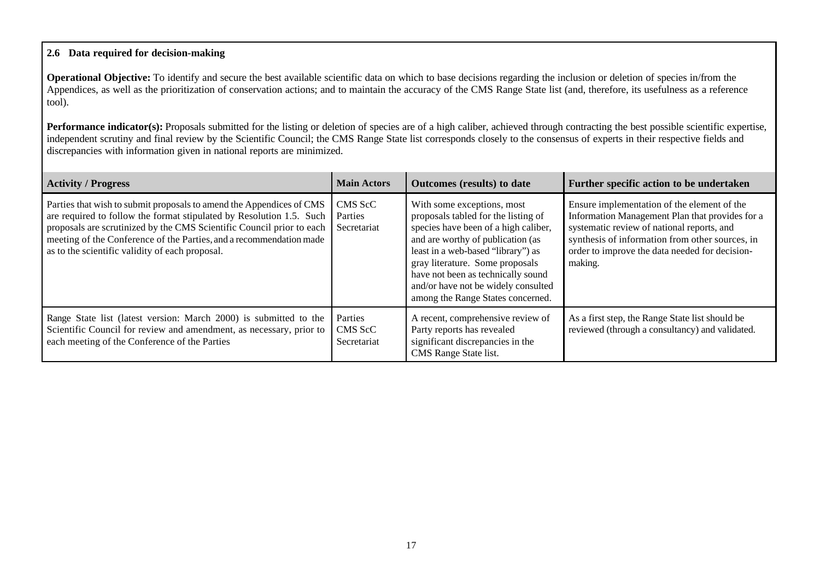#### **2.6 Data required for decision-making**

**Operational Objective:** To identify and secure the best available scientific data on which to base decisions regarding the inclusion or deletion of species in/from the Appendices, as well as the prioritization of conservation actions; and to maintain the accuracy of the CMS Range State list (and, therefore, its usefulness as a reference tool).

**Performance indicator(s):** Proposals submitted for the listing or deletion of species are of a high caliber, achieved through contracting the best possible scientific expertise, independent scrutiny and final review by the Scientific Council; the CMS Range State list corresponds closely to the consensus of experts in their respective fields and discrepancies with information given in national reports are minimized.

| <b>Activity / Progress</b>                                                                                                                                                                                                                                                                                                                      | <b>Main Actors</b>                | <b>Outcomes</b> (results) to date                                                                                                                                                                                                                                                                                                         | Further specific action to be undertaken                                                                                                                                                                                                                     |
|-------------------------------------------------------------------------------------------------------------------------------------------------------------------------------------------------------------------------------------------------------------------------------------------------------------------------------------------------|-----------------------------------|-------------------------------------------------------------------------------------------------------------------------------------------------------------------------------------------------------------------------------------------------------------------------------------------------------------------------------------------|--------------------------------------------------------------------------------------------------------------------------------------------------------------------------------------------------------------------------------------------------------------|
| Parties that wish to submit proposals to amend the Appendices of CMS<br>are required to follow the format stipulated by Resolution 1.5. Such<br>proposals are scrutinized by the CMS Scientific Council prior to each<br>meeting of the Conference of the Parties, and a recommendation made<br>as to the scientific validity of each proposal. | CMS ScC<br>Parties<br>Secretariat | With some exceptions, most<br>proposals tabled for the listing of<br>species have been of a high caliber,<br>and are worthy of publication (as<br>least in a web-based "library") as<br>gray literature. Some proposals<br>have not been as technically sound<br>and/or have not be widely consulted<br>among the Range States concerned. | Ensure implementation of the element of the<br>Information Management Plan that provides for a<br>systematic review of national reports, and<br>synthesis of information from other sources, in<br>order to improve the data needed for decision-<br>making. |
| Range State list (latest version: March 2000) is submitted to the<br>Scientific Council for review and amendment, as necessary, prior to<br>each meeting of the Conference of the Parties                                                                                                                                                       | Parties<br>CMS ScC<br>Secretariat | A recent, comprehensive review of<br>Party reports has revealed<br>significant discrepancies in the<br>CMS Range State list.                                                                                                                                                                                                              | As a first step, the Range State list should be<br>reviewed (through a consultancy) and validated.                                                                                                                                                           |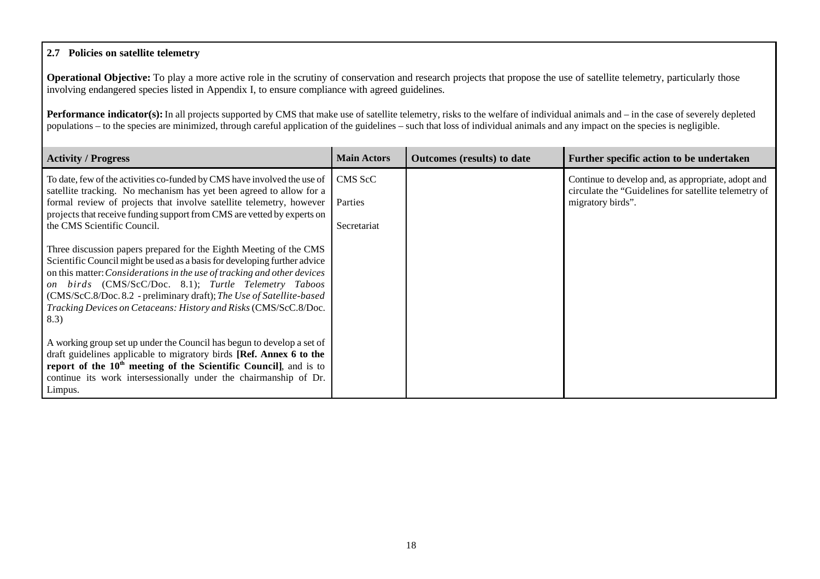#### **2.7 Policies on satellite telemetry**

**Operational Objective:** To play a more active role in the scrutiny of conservation and research projects that propose the use of satellite telemetry, particularly those involving endangered species listed in Appendix I, to ensure compliance with agreed guidelines.

**Performance indicator(s):** In all projects supported by CMS that make use of satellite telemetry, risks to the welfare of individual animals and – in the case of severely depleted populations – to the species are minimized, through careful application of the guidelines – such that loss of individual animals and any impact on the species is negligible.

| <b>Activity / Progress</b>                                                                                                                           | <b>Main Actors</b> | <b>Outcomes</b> (results) to date | Further specific action to be undertaken                                                                   |
|------------------------------------------------------------------------------------------------------------------------------------------------------|--------------------|-----------------------------------|------------------------------------------------------------------------------------------------------------|
| To date, few of the activities co-funded by CMS have involved the use of<br>satellite tracking. No mechanism has yet been agreed to allow for a      | CMS ScC            |                                   | Continue to develop and, as appropriate, adopt and<br>circulate the "Guidelines for satellite telemetry of |
| formal review of projects that involve satellite telemetry, however<br>projects that receive funding support from CMS are vetted by experts on       | Parties            |                                   | migratory birds".                                                                                          |
| the CMS Scientific Council.                                                                                                                          | Secretariat        |                                   |                                                                                                            |
| Three discussion papers prepared for the Eighth Meeting of the CMS                                                                                   |                    |                                   |                                                                                                            |
| Scientific Council might be used as a basis for developing further advice<br>on this matter: Considerations in the use of tracking and other devices |                    |                                   |                                                                                                            |
| on birds (CMS/ScC/Doc. 8.1); Turtle Telemetry Taboos<br>(CMS/ScC.8/Doc.8.2 - preliminary draft); The Use of Satellite-based                          |                    |                                   |                                                                                                            |
| Tracking Devices on Cetaceans: History and Risks (CMS/ScC.8/Doc.<br>8.3)                                                                             |                    |                                   |                                                                                                            |
| A working group set up under the Council has begun to develop a set of                                                                               |                    |                                   |                                                                                                            |
| draft guidelines applicable to migratory birds [Ref. Annex 6 to the<br>report of the $10th$ meeting of the Scientific Council], and is to            |                    |                                   |                                                                                                            |
| continue its work intersessionally under the chairmanship of Dr.                                                                                     |                    |                                   |                                                                                                            |
| Limpus.                                                                                                                                              |                    |                                   |                                                                                                            |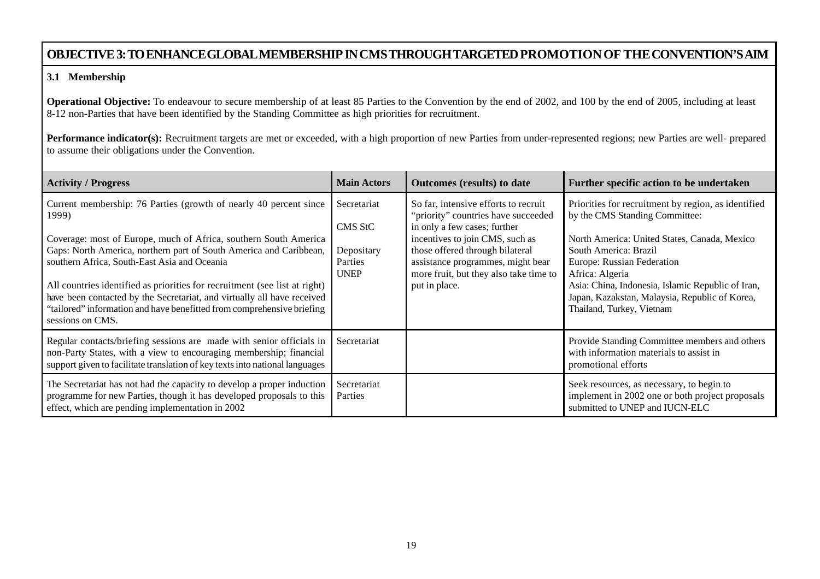# **OBJECTIVE 3:TOENHANCEGLOBALMEMBERSHIPINCMSTHROUGHTARGETEDPROMOTIONOF THECONVENTION'SAIM**

#### **3.1 Membership**

**Operational Objective:** To endeavour to secure membership of at least 85 Parties to the Convention by the end of 2002, and 100 by the end of 2005, including at least 8-12 non-Parties that have been identified by the Standing Committee as high priorities for recruitment.

Performance indicator(s): Recruitment targets are met or exceeded, with a high proportion of new Parties from under-represented regions; new Parties are well- prepared to assume their obligations under the Convention.

| <b>Activity / Progress</b>                                                                                                                                                                                                                                                                                                                                                                                                                                                                                                  | <b>Main Actors</b>                                             | <b>Outcomes</b> (results) to date                                                                                                                                                                                                                                                 | Further specific action to be undertaken                                                                                                                                                                                                                                                                                                            |
|-----------------------------------------------------------------------------------------------------------------------------------------------------------------------------------------------------------------------------------------------------------------------------------------------------------------------------------------------------------------------------------------------------------------------------------------------------------------------------------------------------------------------------|----------------------------------------------------------------|-----------------------------------------------------------------------------------------------------------------------------------------------------------------------------------------------------------------------------------------------------------------------------------|-----------------------------------------------------------------------------------------------------------------------------------------------------------------------------------------------------------------------------------------------------------------------------------------------------------------------------------------------------|
| Current membership: 76 Parties (growth of nearly 40 percent since<br>1999)<br>Coverage: most of Europe, much of Africa, southern South America<br>Gaps: North America, northern part of South America and Caribbean,<br>southern Africa, South-East Asia and Oceania<br>All countries identified as priorities for recruitment (see list at right)<br>have been contacted by the Secretariat, and virtually all have received<br>"tailored" information and have benefitted from comprehensive briefing<br>sessions on CMS. | Secretariat<br>CMS StC<br>Depositary<br>Parties<br><b>UNEP</b> | So far, intensive efforts to recruit<br>"priority" countries have succeeded<br>in only a few cases; further<br>incentives to join CMS, such as<br>those offered through bilateral<br>assistance programmes, might bear<br>more fruit, but they also take time to<br>put in place. | Priorities for recruitment by region, as identified<br>by the CMS Standing Committee:<br>North America: United States, Canada, Mexico<br>South America: Brazil<br>Europe: Russian Federation<br>Africa: Algeria<br>Asia: China, Indonesia, Islamic Republic of Iran,<br>Japan, Kazakstan, Malaysia, Republic of Korea,<br>Thailand, Turkey, Vietnam |
| Regular contacts/briefing sessions are made with senior officials in<br>non-Party States, with a view to encouraging membership; financial<br>support given to facilitate translation of key texts into national languages                                                                                                                                                                                                                                                                                                  | Secretariat                                                    |                                                                                                                                                                                                                                                                                   | Provide Standing Committee members and others<br>with information materials to assist in<br>promotional efforts                                                                                                                                                                                                                                     |
| The Secretariat has not had the capacity to develop a proper induction<br>programme for new Parties, though it has developed proposals to this<br>effect, which are pending implementation in 2002                                                                                                                                                                                                                                                                                                                          | Secretariat<br>Parties                                         |                                                                                                                                                                                                                                                                                   | Seek resources, as necessary, to begin to<br>implement in 2002 one or both project proposals<br>submitted to UNEP and IUCN-ELC                                                                                                                                                                                                                      |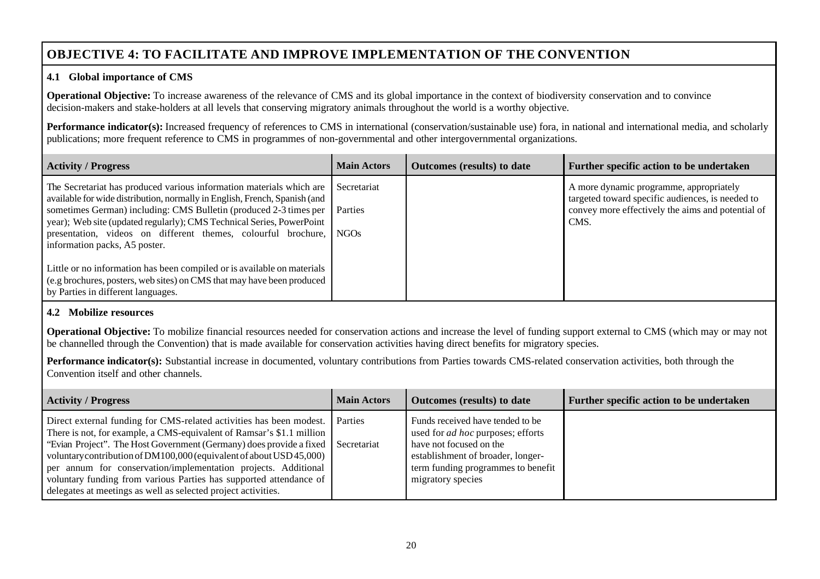# **OBJECTIVE 4: TO FACILITATE AND IMPROVE IMPLEMENTATION OF THE CONVENTION**

#### **4.1 Global importance of CMS**

**Operational Objective:** To increase awareness of the relevance of CMS and its global importance in the context of biodiversity conservation and to convince decision-makers and stake-holders at all levels that conserving migratory animals throughout the world is a worthy objective.

**Performance indicator(s):** Increased frequency of references to CMS in international (conservation/sustainable use) fora, in national and international media, and scholarly publications; more frequent reference to CMS in programmes of non-governmental and other intergovernmental organizations.

| <b>Activity / Progress</b>                                                                                                                                                                                                                                                                                                                                                                              | <b>Main Actors</b>     | <b>Outcomes</b> (results) to date | Further specific action to be undertaken                                                                                                                 |
|---------------------------------------------------------------------------------------------------------------------------------------------------------------------------------------------------------------------------------------------------------------------------------------------------------------------------------------------------------------------------------------------------------|------------------------|-----------------------------------|----------------------------------------------------------------------------------------------------------------------------------------------------------|
| The Secretariat has produced various information materials which are<br>available for wide distribution, normally in English, French, Spanish (and<br>sometimes German) including: CMS Bulletin (produced 2-3 times per<br>year); Web site (updated regularly); CMS Technical Series, PowerPoint<br>presentation, videos on different themes, colourful brochure, NGOs<br>information packs, A5 poster. | Secretariat<br>Parties |                                   | A more dynamic programme, appropriately<br>targeted toward specific audiences, is needed to<br>convey more effectively the aims and potential of<br>CMS. |
| Little or no information has been compiled or is available on materials<br>(e.g brochures, posters, web sites) on CMS that may have been produced<br>by Parties in different languages.                                                                                                                                                                                                                 |                        |                                   |                                                                                                                                                          |

#### **4.2 Mobilize resources**

**Operational Objective:** To mobilize financial resources needed for conservation actions and increase the level of funding support external to CMS (which may or may not be channelled through the Convention) that is made available for conservation activities having direct benefits for migratory species.

Performance indicator(s): Substantial increase in documented, voluntary contributions from Parties towards CMS-related conservation activities, both through the Convention itself and other channels.

| <b>Activity / Progress</b>                                                                                                                                                                                                                                                                                                                                                                                                                                                                                                 | <b>Main Actors</b> | <b>Outcomes</b> (results) to date                                                                                                                                                                       | Further specific action to be undertaken |
|----------------------------------------------------------------------------------------------------------------------------------------------------------------------------------------------------------------------------------------------------------------------------------------------------------------------------------------------------------------------------------------------------------------------------------------------------------------------------------------------------------------------------|--------------------|---------------------------------------------------------------------------------------------------------------------------------------------------------------------------------------------------------|------------------------------------------|
| Direct external funding for CMS-related activities has been modest. Parties<br>There is not, for example, a CMS-equivalent of Ramsar's \$1.1 million<br>"Evian Project". The Host Government (Germany) does provide a fixed   Secretariat<br>voluntary contribution of DM100,000 (equivalent of about USD 45,000)<br>per annum for conservation/implementation projects. Additional<br>voluntary funding from various Parties has supported attendance of<br>delegates at meetings as well as selected project activities. |                    | Funds received have tended to be<br>used for <i>ad hoc</i> purposes; efforts<br>have not focused on the<br>establishment of broader, longer-<br>term funding programmes to benefit<br>migratory species |                                          |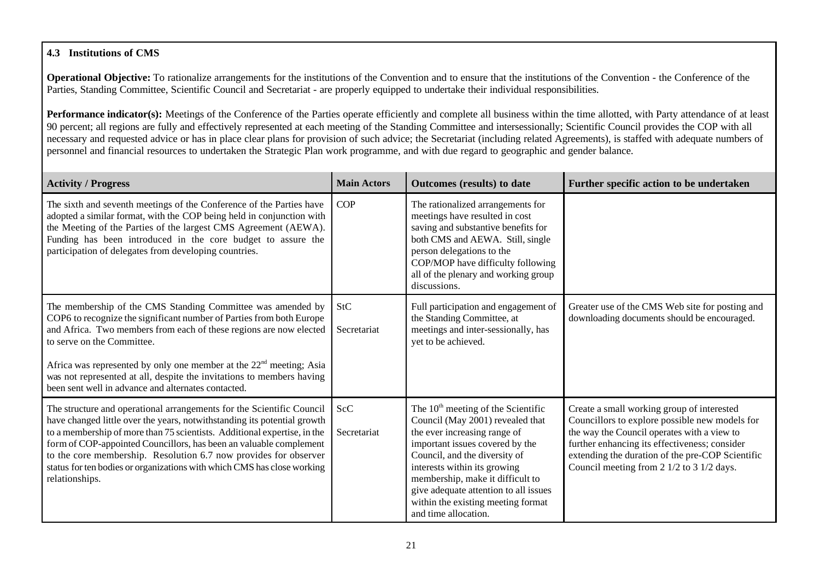## **4.3 Institutions of CMS**

**Operational Objective:** To rationalize arrangements for the institutions of the Convention and to ensure that the institutions of the Convention - the Conference of the Parties, Standing Committee, Scientific Council and Secretariat - are properly equipped to undertake their individual responsibilities.

**Performance indicator(s):** Meetings of the Conference of the Parties operate efficiently and complete all business within the time allotted, with Party attendance of at least 90 percent; all regions are fully and effectively represented at each meeting of the Standing Committee and intersessionally; Scientific Council provides the COP with all necessary and requested advice or has in place clear plans for provision of such advice; the Secretariat (including related Agreements), is staffed with adequate numbers of personnel and financial resources to undertaken the Strategic Plan work programme, and with due regard to geographic and gender balance.

| <b>Activity / Progress</b>                                                                                                                                                                                                                                                                                                                                                                                                                                           | <b>Main Actors</b>        | Outcomes (results) to date                                                                                                                                                                                                                                                                                                                              | Further specific action to be undertaken                                                                                                                                                                                                                                                      |
|----------------------------------------------------------------------------------------------------------------------------------------------------------------------------------------------------------------------------------------------------------------------------------------------------------------------------------------------------------------------------------------------------------------------------------------------------------------------|---------------------------|---------------------------------------------------------------------------------------------------------------------------------------------------------------------------------------------------------------------------------------------------------------------------------------------------------------------------------------------------------|-----------------------------------------------------------------------------------------------------------------------------------------------------------------------------------------------------------------------------------------------------------------------------------------------|
| The sixth and seventh meetings of the Conference of the Parties have<br>adopted a similar format, with the COP being held in conjunction with<br>the Meeting of the Parties of the largest CMS Agreement (AEWA).<br>Funding has been introduced in the core budget to assure the<br>participation of delegates from developing countries.                                                                                                                            | <b>COP</b>                | The rationalized arrangements for<br>meetings have resulted in cost<br>saving and substantive benefits for<br>both CMS and AEWA. Still, single<br>person delegations to the<br>COP/MOP have difficulty following<br>all of the plenary and working group<br>discussions.                                                                                |                                                                                                                                                                                                                                                                                               |
| The membership of the CMS Standing Committee was amended by<br>COP6 to recognize the significant number of Parties from both Europe<br>and Africa. Two members from each of these regions are now elected<br>to serve on the Committee.<br>Africa was represented by only one member at the 22 <sup>nd</sup> meeting; Asia<br>was not represented at all, despite the invitations to members having<br>been sent well in advance and alternates contacted.           | StC<br>Secretariat        | Full participation and engagement of<br>the Standing Committee, at<br>meetings and inter-sessionally, has<br>yet to be achieved.                                                                                                                                                                                                                        | Greater use of the CMS Web site for posting and<br>downloading documents should be encouraged.                                                                                                                                                                                                |
| The structure and operational arrangements for the Scientific Council<br>have changed little over the years, notwithstanding its potential growth<br>to a membership of more than 75 scientists. Additional expertise, in the<br>form of COP-appointed Councillors, has been an valuable complement<br>to the core membership. Resolution 6.7 now provides for observer<br>status for ten bodies or organizations with which CMS has close working<br>relationships. | <b>ScC</b><br>Secretariat | The $10th$ meeting of the Scientific<br>Council (May 2001) revealed that<br>the ever increasing range of<br>important issues covered by the<br>Council, and the diversity of<br>interests within its growing<br>membership, make it difficult to<br>give adequate attention to all issues<br>within the existing meeting format<br>and time allocation. | Create a small working group of interested<br>Councillors to explore possible new models for<br>the way the Council operates with a view to<br>further enhancing its effectiveness; consider<br>extending the duration of the pre-COP Scientific<br>Council meeting from 2 1/2 to 3 1/2 days. |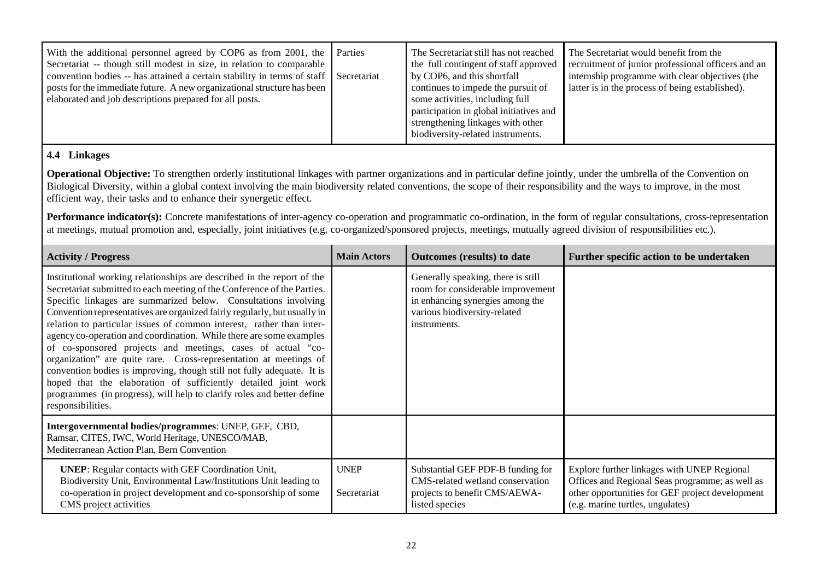| With the additional personnel agreed by COP6 as from 2001, the Parties<br>Secretariat -- though still modest in size, in relation to comparable<br>convention bodies -- has attained a certain stability in terms of staff $\Box$ Secretariat<br>posts for the immediate future. A new organizational structure has been<br>elaborated and job descriptions prepared for all posts. |  | The Secretariat still has not reached<br>the full contingent of staff approved<br>by COP6, and this shortfall<br>continues to impede the pursuit of<br>some activities, including full<br>participation in global initiatives and<br>strengthening linkages with other<br>biodiversity-related instruments. | The Secretariat would benefit from the<br>recruitment of junior professional officers and an<br>internship programme with clear objectives (the<br>latter is in the process of being established). |
|-------------------------------------------------------------------------------------------------------------------------------------------------------------------------------------------------------------------------------------------------------------------------------------------------------------------------------------------------------------------------------------|--|-------------------------------------------------------------------------------------------------------------------------------------------------------------------------------------------------------------------------------------------------------------------------------------------------------------|----------------------------------------------------------------------------------------------------------------------------------------------------------------------------------------------------|
|-------------------------------------------------------------------------------------------------------------------------------------------------------------------------------------------------------------------------------------------------------------------------------------------------------------------------------------------------------------------------------------|--|-------------------------------------------------------------------------------------------------------------------------------------------------------------------------------------------------------------------------------------------------------------------------------------------------------------|----------------------------------------------------------------------------------------------------------------------------------------------------------------------------------------------------|

#### **4.4 Linkages**

**Operational Objective:** To strengthen orderly institutional linkages with partner organizations and in particular define jointly, under the umbrella of the Convention on Biological Diversity, within a global context involving the main biodiversity related conventions, the scope of their responsibility and the ways to improve, in the most efficient way, their tasks and to enhance their synergetic effect.

**Performance indicator(s):** Concrete manifestations of inter-agency co-operation and programmatic co-ordination, in the form of regular consultations, cross-representation at meetings, mutual promotion and, especially, joint initiatives (e.g. co-organized/sponsored projects, meetings, mutually agreed division of responsibilities etc.).

| <b>Activity / Progress</b>                                                                                                                                                                                                                                                                                                                                                                                                                                                                                                                                                                                                                                                                                                                                                                                                      | <b>Main Actors</b>         | Outcomes (results) to date                                                                                                                                  | Further specific action to be undertaken                                                                                                                                              |
|---------------------------------------------------------------------------------------------------------------------------------------------------------------------------------------------------------------------------------------------------------------------------------------------------------------------------------------------------------------------------------------------------------------------------------------------------------------------------------------------------------------------------------------------------------------------------------------------------------------------------------------------------------------------------------------------------------------------------------------------------------------------------------------------------------------------------------|----------------------------|-------------------------------------------------------------------------------------------------------------------------------------------------------------|---------------------------------------------------------------------------------------------------------------------------------------------------------------------------------------|
| Institutional working relationships are described in the report of the<br>Secretariat submitted to each meeting of the Conference of the Parties.<br>Specific linkages are summarized below. Consultations involving<br>Convention representatives are organized fairly regularly, but usually in<br>relation to particular issues of common interest, rather than inter-<br>agency co-operation and coordination. While there are some examples<br>of co-sponsored projects and meetings, cases of actual "co-<br>organization" are quite rare. Cross-representation at meetings of<br>convention bodies is improving, though still not fully adequate. It is<br>hoped that the elaboration of sufficiently detailed joint work<br>programmes (in progress), will help to clarify roles and better define<br>responsibilities. |                            | Generally speaking, there is still<br>room for considerable improvement<br>in enhancing synergies among the<br>various biodiversity-related<br>instruments. |                                                                                                                                                                                       |
| Intergovernmental bodies/programmes: UNEP, GEF, CBD,<br>Ramsar, CITES, IWC, World Heritage, UNESCO/MAB,<br>Mediterranean Action Plan, Bern Convention                                                                                                                                                                                                                                                                                                                                                                                                                                                                                                                                                                                                                                                                           |                            |                                                                                                                                                             |                                                                                                                                                                                       |
| <b>UNEP:</b> Regular contacts with GEF Coordination Unit,<br>Biodiversity Unit, Environmental Law/Institutions Unit leading to<br>co-operation in project development and co-sponsorship of some<br>CMS project activities                                                                                                                                                                                                                                                                                                                                                                                                                                                                                                                                                                                                      | <b>UNEP</b><br>Secretariat | Substantial GEF PDF-B funding for<br>CMS-related wetland conservation<br>projects to benefit CMS/AEWA-<br>listed species                                    | Explore further linkages with UNEP Regional<br>Offices and Regional Seas programme; as well as<br>other opportunities for GEF project development<br>(e.g. marine turtles, ungulates) |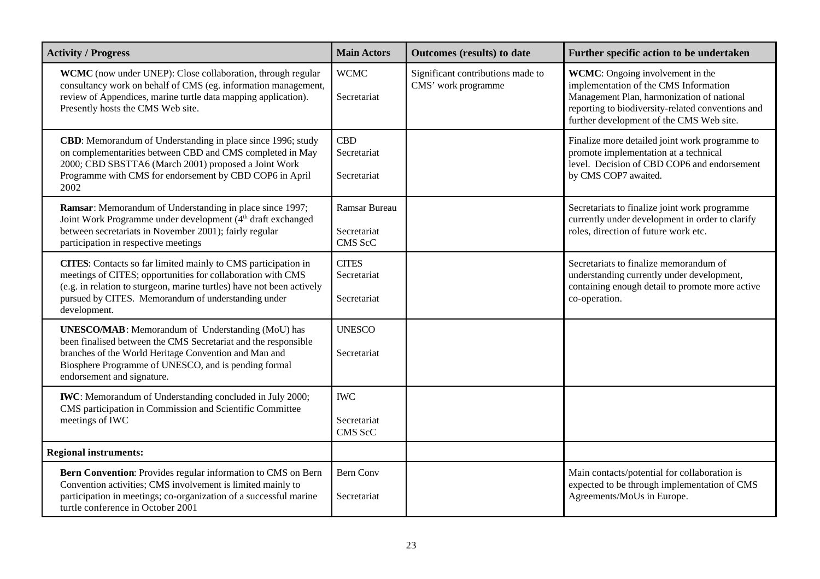| <b>Activity / Progress</b>                                                                                                                                                                                                                                                          | <b>Main Actors</b>                             | <b>Outcomes (results) to date</b>                        | Further specific action to be undertaken                                                                                                                                                                                        |
|-------------------------------------------------------------------------------------------------------------------------------------------------------------------------------------------------------------------------------------------------------------------------------------|------------------------------------------------|----------------------------------------------------------|---------------------------------------------------------------------------------------------------------------------------------------------------------------------------------------------------------------------------------|
| <b>WCMC</b> (now under UNEP): Close collaboration, through regular<br>consultancy work on behalf of CMS (eg. information management,<br>review of Appendices, marine turtle data mapping application).<br>Presently hosts the CMS Web site.                                         | <b>WCMC</b><br>Secretariat                     | Significant contributions made to<br>CMS' work programme | <b>WCMC:</b> Ongoing involvement in the<br>implementation of the CMS Information<br>Management Plan, harmonization of national<br>reporting to biodiversity-related conventions and<br>further development of the CMS Web site. |
| CBD: Memorandum of Understanding in place since 1996; study<br>on complementarities between CBD and CMS completed in May<br>2000; CBD SBSTTA6 (March 2001) proposed a Joint Work<br>Programme with CMS for endorsement by CBD COP6 in April<br>2002                                 | CBD<br>Secretariat<br>Secretariat              |                                                          | Finalize more detailed joint work programme to<br>promote implementation at a technical<br>level. Decision of CBD COP6 and endorsement<br>by CMS COP7 awaited.                                                                  |
| Ramsar: Memorandum of Understanding in place since 1997;<br>Joint Work Programme under development (4 <sup>th</sup> draft exchanged<br>between secretariats in November 2001); fairly regular<br>participation in respective meetings                                               | <b>Ramsar Bureau</b><br>Secretariat<br>CMS ScC |                                                          | Secretariats to finalize joint work programme<br>currently under development in order to clarify<br>roles, direction of future work etc.                                                                                        |
| <b>CITES:</b> Contacts so far limited mainly to CMS participation in<br>meetings of CITES; opportunities for collaboration with CMS<br>(e.g. in relation to sturgeon, marine turtles) have not been actively<br>pursued by CITES. Memorandum of understanding under<br>development. | <b>CITES</b><br>Secretariat<br>Secretariat     |                                                          | Secretariats to finalize memorandum of<br>understanding currently under development,<br>containing enough detail to promote more active<br>co-operation.                                                                        |
| <b>UNESCO/MAB</b> : Memorandum of Understanding (MoU) has<br>been finalised between the CMS Secretariat and the responsible<br>branches of the World Heritage Convention and Man and<br>Biosphere Programme of UNESCO, and is pending formal<br>endorsement and signature.          | <b>UNESCO</b><br>Secretariat                   |                                                          |                                                                                                                                                                                                                                 |
| <b>IWC</b> : Memorandum of Understanding concluded in July 2000;<br>CMS participation in Commission and Scientific Committee<br>meetings of IWC                                                                                                                                     | <b>IWC</b><br>Secretariat<br>CMS ScC           |                                                          |                                                                                                                                                                                                                                 |
| <b>Regional instruments:</b>                                                                                                                                                                                                                                                        |                                                |                                                          |                                                                                                                                                                                                                                 |
| Bern Convention: Provides regular information to CMS on Bern<br>Convention activities; CMS involvement is limited mainly to<br>participation in meetings; co-organization of a successful marine<br>turtle conference in October 2001                                               | <b>Bern Conv</b><br>Secretariat                |                                                          | Main contacts/potential for collaboration is<br>expected to be through implementation of CMS<br>Agreements/MoUs in Europe.                                                                                                      |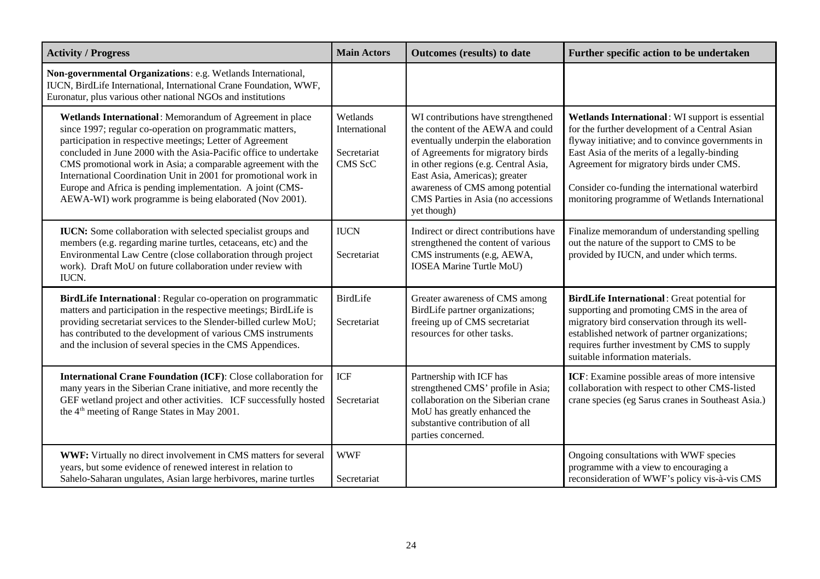| <b>Activity / Progress</b>                                                                                                                                                                                                                                                                                                                                                                                                                                                                                          | <b>Main Actors</b>                                  | <b>Outcomes (results) to date</b>                                                                                                                                                                                                                                                                                     | Further specific action to be undertaken                                                                                                                                                                                                                                                                                                                |
|---------------------------------------------------------------------------------------------------------------------------------------------------------------------------------------------------------------------------------------------------------------------------------------------------------------------------------------------------------------------------------------------------------------------------------------------------------------------------------------------------------------------|-----------------------------------------------------|-----------------------------------------------------------------------------------------------------------------------------------------------------------------------------------------------------------------------------------------------------------------------------------------------------------------------|---------------------------------------------------------------------------------------------------------------------------------------------------------------------------------------------------------------------------------------------------------------------------------------------------------------------------------------------------------|
| Non-governmental Organizations: e.g. Wetlands International,<br>IUCN, BirdLife International, International Crane Foundation, WWF,<br>Euronatur, plus various other national NGOs and institutions                                                                                                                                                                                                                                                                                                                  |                                                     |                                                                                                                                                                                                                                                                                                                       |                                                                                                                                                                                                                                                                                                                                                         |
| Wetlands International: Memorandum of Agreement in place<br>since 1997; regular co-operation on programmatic matters,<br>participation in respective meetings; Letter of Agreement<br>concluded in June 2000 with the Asia-Pacific office to undertake<br>CMS promotional work in Asia; a comparable agreement with the<br>International Coordination Unit in 2001 for promotional work in<br>Europe and Africa is pending implementation. A joint (CMS-<br>AEWA-WI) work programme is being elaborated (Nov 2001). | Wetlands<br>International<br>Secretariat<br>CMS ScC | WI contributions have strengthened<br>the content of the AEWA and could<br>eventually underpin the elaboration<br>of Agreements for migratory birds<br>in other regions (e.g. Central Asia,<br>East Asia, Americas); greater<br>awareness of CMS among potential<br>CMS Parties in Asia (no accessions<br>yet though) | Wetlands International: WI support is essential<br>for the further development of a Central Asian<br>flyway initiative; and to convince governments in<br>East Asia of the merits of a legally-binding<br>Agreement for migratory birds under CMS.<br>Consider co-funding the international waterbird<br>monitoring programme of Wetlands International |
| IUCN: Some collaboration with selected specialist groups and<br>members (e.g. regarding marine turtles, cetaceans, etc) and the<br>Environmental Law Centre (close collaboration through project<br>work). Draft MoU on future collaboration under review with<br>IUCN.                                                                                                                                                                                                                                             | <b>IUCN</b><br>Secretariat                          | Indirect or direct contributions have<br>strengthened the content of various<br>CMS instruments (e.g, AEWA,<br><b>IOSEA Marine Turtle MoU)</b>                                                                                                                                                                        | Finalize memorandum of understanding spelling<br>out the nature of the support to CMS to be<br>provided by IUCN, and under which terms.                                                                                                                                                                                                                 |
| BirdLife International: Regular co-operation on programmatic<br>matters and participation in the respective meetings; BirdLife is<br>providing secretariat services to the Slender-billed curlew MoU;<br>has contributed to the development of various CMS instruments<br>and the inclusion of several species in the CMS Appendices.                                                                                                                                                                               | <b>BirdLife</b><br>Secretariat                      | Greater awareness of CMS among<br>BirdLife partner organizations;<br>freeing up of CMS secretariat<br>resources for other tasks.                                                                                                                                                                                      | BirdLife International: Great potential for<br>supporting and promoting CMS in the area of<br>migratory bird conservation through its well-<br>established network of partner organizations;<br>requires further investment by CMS to supply<br>suitable information materials.                                                                         |
| International Crane Foundation (ICF): Close collaboration for<br>many years in the Siberian Crane initiative, and more recently the<br>GEF wetland project and other activities. ICF successfully hosted<br>the 4 <sup>th</sup> meeting of Range States in May 2001.                                                                                                                                                                                                                                                | ICF<br>Secretariat                                  | Partnership with ICF has<br>strengthened CMS' profile in Asia;<br>collaboration on the Siberian crane<br>MoU has greatly enhanced the<br>substantive contribution of all<br>parties concerned.                                                                                                                        | ICF: Examine possible areas of more intensive<br>collaboration with respect to other CMS-listed<br>crane species (eg Sarus cranes in Southeast Asia.)                                                                                                                                                                                                   |
| WWF: Virtually no direct involvement in CMS matters for several<br>years, but some evidence of renewed interest in relation to<br>Sahelo-Saharan ungulates, Asian large herbivores, marine turtles                                                                                                                                                                                                                                                                                                                  | <b>WWF</b><br>Secretariat                           |                                                                                                                                                                                                                                                                                                                       | Ongoing consultations with WWF species<br>programme with a view to encouraging a<br>reconsideration of WWF's policy vis-à-vis CMS                                                                                                                                                                                                                       |